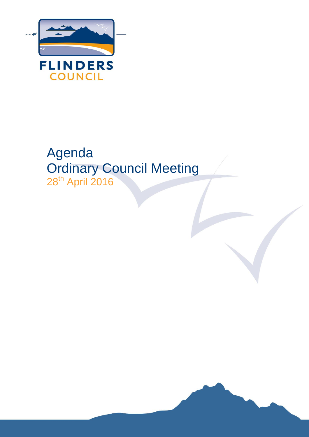

# Agenda Ordinary Council Meeting 28<sup>th</sup> April 2016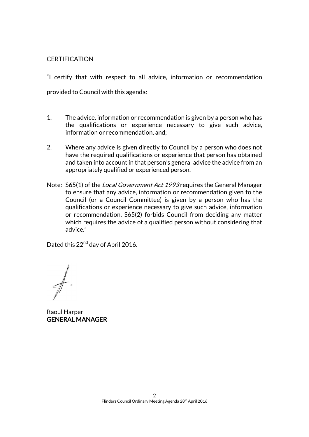### **CERTIFICATION**

"I certify that with respect to all advice, information or recommendation provided to Council with this agenda:

- 1. The advice, information or recommendation is given by a person who has the qualifications or experience necessary to give such advice, information or recommendation, and;
- 2. Where any advice is given directly to Council by a person who does not have the required qualifications or experience that person has obtained and taken into account in that person's general advice the advice from an appropriately qualified or experienced person.
- Note: S65(1) of the *Local Government Act 1993* requires the General Manager to ensure that any advice, information or recommendation given to the Council (or a Council Committee) is given by a person who has the qualifications or experience necessary to give such advice, information or recommendation. S65(2) forbids Council from deciding any matter which requires the advice of a qualified person without considering that advice."

Dated this 22<sup>nd</sup> day of April 2016.

Raoul Harper GENERAL MANAGER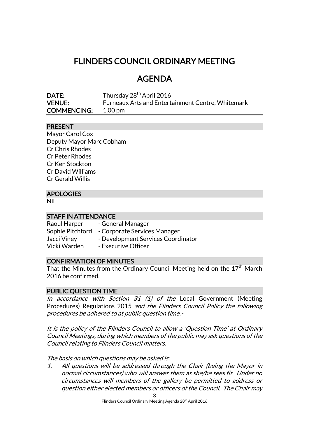# FLINDERS COUNCIL ORDINARY MEETING

# AGENDA

| DATE:              | Thursday 28 <sup>th</sup> April 2016              |
|--------------------|---------------------------------------------------|
| <b>VENUE:</b>      | Furneaux Arts and Entertainment Centre, Whitemark |
| <b>COMMENCING:</b> | $1.00 \,\mathrm{pm}$                              |

### PRESENT

| Mayor Carol Cox          |
|--------------------------|
| Deputy Mayor Marc Cobham |
| <b>Cr Chris Rhodes</b>   |
| <b>Cr Peter Rhodes</b>   |
| Cr Ken Stockton          |
| <b>Cr David Williams</b> |
| <b>Cr Gerald Willis</b>  |

## APOLOGIES

Nil

### STAFF IN ATTENDANCE

Raoul Harper - General Manager Sophie Pitchford - Corporate Services Manager Jacci Viney - Development Services Coordinator Vicki Warden - Executive Officer

### CONFIRMATION OF MINUTES

That the Minutes from the Ordinary Council Meeting held on the  $17^{\rm th}$  March 2016 be confirmed.

### PUBLIC QUESTION TIME

In accordance with Section 31  $(1)$  of the Local Government (Meeting Procedures) Regulations 2015 and the Flinders Council Policy the following procedures be adhered to at public question time:-

It is the policy of the Flinders Council to allow a 'Question Time' at Ordinary Council Meetings, during which members of the public may ask questions of the Council relating to Flinders Council matters.

The basis on which questions may be asked is:

1. All questions will be addressed through the Chair (being the Mayor in normal circumstances) who will answer them as she/he sees fit. Under no circumstances will members of the gallery be permitted to address or question either elected members or officers of the Council. The Chair may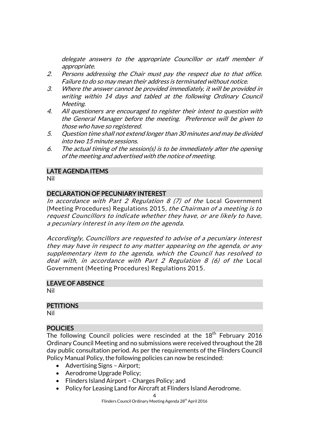delegate answers to the appropriate Councillor or staff member if appropriate.

- 2. Persons addressing the Chair must pay the respect due to that office. Failure to do so may mean their address is terminated without notice.
- 3. Where the answer cannot be provided immediately, it will be provided in writing within 14 days and tabled at the following Ordinary Council Meeting.
- 4. All questioners are encouraged to register their intent to question with the General Manager before the meeting. Preference will be given to those who have so registered.
- 5. Question time shall not extend longer than 30 minutes and may be divided into two 15 minute sessions.
- 6. The actual timing of the session(s) is to be immediately after the opening of the meeting and advertised with the notice of meeting.

### LATE AGENDA ITEMS

Nil

### DECLARATION OF PECUNIARY INTEREST

In accordance with Part 2 Regulation 8  $(7)$  of the Local Government (Meeting Procedures) Regulations 2015, the Chairman of a meeting is to request Councillors to indicate whether they have, or are likely to have, a pecuniary interest in any item on the agenda.

Accordingly, Councillors are requested to advise of a pecuniary interest they may have in respect to any matter appearing on the agenda, or any supplementary item to the agenda, which the Council has resolved to deal with, in accordance with Part 2 Regulation 8 (6) of the Local Government (Meeting Procedures) Regulations 2015.

### LEAVE OF ABSENCE

Nil

### **PETITIONS**

Nil

### **POLICIES**

The following Council policies were rescinded at the  $18<sup>th</sup>$  February 2016 Ordinary Council Meeting and no submissions were received throughout the 28 day public consultation period. As per the requirements of the Flinders Council Policy Manual Policy, the following policies can now be rescinded:

- Advertising Signs Airport;
- Aerodrome Upgrade Policy;
- Flinders Island Airport Charges Policy; and
- Policy for Leasing Land for Aircraft at Flinders Island Aerodrome.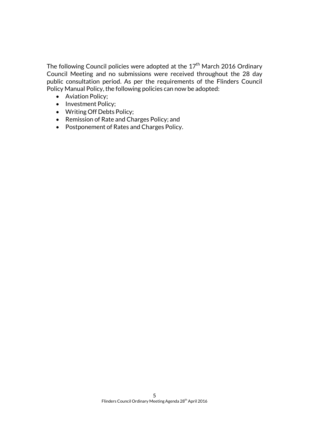The following Council policies were adopted at the  $17<sup>th</sup>$  March 2016 Ordinary Council Meeting and no submissions were received throughout the 28 day public consultation period. As per the requirements of the Flinders Council Policy Manual Policy, the following policies can now be adopted:

- [Aviation Policy;](http://www.flinders.tas.gov.au/client-assets/images/Council/Downloads/Policies/DRAFT%20Aviation%20Policy.pdf)
- [Investment Policy;](http://www.flinders.tas.gov.au/client-assets/images/Council/Downloads/Policies/FC%20Investment%20Policy%2020160324.pdf)
- [Writing Off Debts Policy;](http://www.flinders.tas.gov.au/client-assets/images/Council/Downloads/Policies/from%20mtg%20-%20DRAFT%20Write%20off%20of%20bad%20debts%20Policy.pdf)
- [Remission of Rate and Charges Policy;](http://www.flinders.tas.gov.au/client-assets/images/Council/Downloads/Policies/from%20mtg%20-%20DRAFT%20Remission%20or%20rebate%20of%20rates%20and%20charges%20Policy.pdf) and
- [Postponement of Rates and Charges Policy.](http://www.flinders.tas.gov.au/client-assets/images/Council/Downloads/Policies/from%20meeting%20-%20DRAFT%20Postponement%20of%20rates%20and%20charges%20Policy.pdf)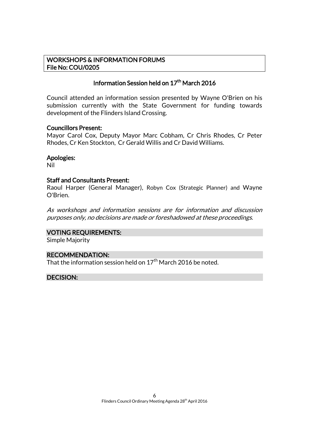### WORKSHOPS & INFORMATION FORUMS File No: COU/0205

## Information Session held on 17<sup>th</sup> March 2016

Council attended an information session presented by Wayne O'Brien on his submission currently with the State Government for funding towards development of the Flinders Island Crossing.

### Councillors Present:

Mayor Carol Cox, Deputy Mayor Marc Cobham, Cr Chris Rhodes, Cr Peter Rhodes, Cr Ken Stockton, Cr Gerald Willis and Cr David Williams.

### Apologies:

Nil

### Staff and Consultants Present:

Raoul Harper (General Manager), Robyn Cox (Strategic Planner) and Wayne O'Brien.

As workshops and information sessions are for information and discussion purposes only, no decisions are made or foreshadowed at these proceedings.

### VOTING REQUIREMENTS:

Simple Majority

### RECOMMENDATION:

That the information session held on  $17<sup>th</sup>$  March 2016 be noted.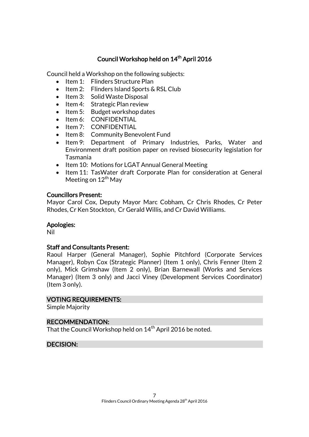# Council Workshop held on 14<sup>th</sup> April 2016

Council held a Workshop on the following subjects:

- Item 1: Flinders Structure Plan
- $\bullet$  Item 2: Flinders Island Sports & RSL Club
- $\bullet$  Item 3: Solid Waste Disposal
- Item 4: Strategic Plan review
- $\bullet$  Item 5: Budget workshop dates
- Item 6: CONFIDENTIAL
- Item 7: CONFIDENTIAL
- Item 8: Community Benevolent Fund
- Item 9: Department of Primary Industries, Parks, Water and Environment draft position paper on revised biosecurity legislation for Tasmania
- Item 10: Motions for LGAT Annual General Meeting
- Item 11: TasWater draft Corporate Plan for consideration at General Meeting on  $12<sup>th</sup>$  May

### Councillors Present:

Mayor Carol Cox, Deputy Mayor Marc Cobham, Cr Chris Rhodes, Cr Peter Rhodes, Cr Ken Stockton, Cr Gerald Willis, and Cr David Williams.

### Apologies:

Nil

### Staff and Consultants Present:

Raoul Harper (General Manager), Sophie Pitchford (Corporate Services Manager), Robyn Cox (Strategic Planner) (Item 1 only), Chris Fenner (Item 2 only), Mick Grimshaw (Item 2 only), Brian Barnewall (Works and Services Manager) (Item 3 only) and Jacci Viney (Development Services Coordinator) (Item 3 only).

### VOTING REQUIREMENTS:

Simple Majority

### RECOMMENDATION:

That the Council Workshop held on  $14<sup>th</sup>$  April 2016 be noted.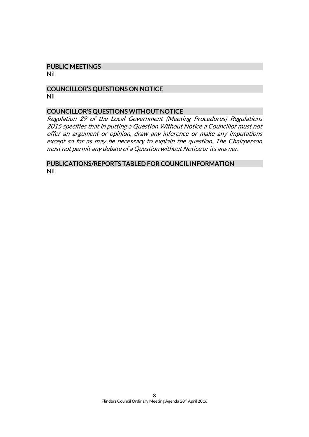# PUBLIC MEETINGS

Nil

### COUNCILLOR'S QUESTIONS ON NOTICE Nil

## COUNCILLOR'S QUESTIONS WITHOUT NOTICE

Regulation 29 of the Local Government (Meeting Procedures) Regulations 2015 specifies that in putting a Question Without Notice a Councillor must not offer an argument or opinion, draw any inference or make any imputations except so far as may be necessary to explain the question. The Chairperson must not permit any debate of a Question without Notice or its answer.

#### PUBLICATIONS/REPORTS TABLED FOR COUNCIL INFORMATION Nil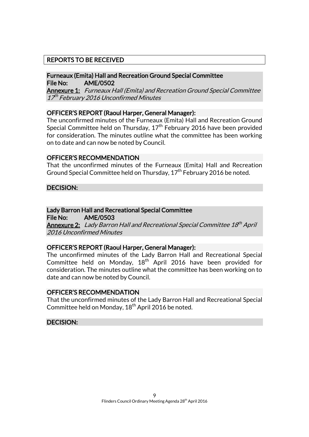# REPORTS TO BE RECEIVED

### Furneaux (Emita) Hall and Recreation Ground Special Committee File No: AME/0502

Annexure 1: Furneaux Hall (Emita) and Recreation Ground Special Committee 17<sup>th</sup> February 2016 Unconfirmed Minutes

### OFFICER'S REPORT (Raoul Harper, General Manager):

The unconfirmed minutes of the Furneaux (Emita) Hall and Recreation Ground Special Committee held on Thursday,  $17<sup>th</sup>$  February 2016 have been provided for consideration. The minutes outline what the committee has been working on to date and can now be noted by Council.

### OFFICER'S RECOMMENDATION

That the unconfirmed minutes of the Furneaux (Emita) Hall and Recreation Ground Special Committee held on Thursday, 17<sup>th</sup> February 2016 be noted.

### DECISION:

### Lady Barron Hall and Recreational Special Committee

File No: AME/0503

**Annexure 2:** Lady Barron Hall and Recreational Special Committee 18<sup>th</sup> April 2016 Unconfirmed Minutes

### OFFICER'S REPORT (Raoul Harper, General Manager):

The unconfirmed minutes of the Lady Barron Hall and Recreational Special Committee held on Monday, 18<sup>th</sup> April 2016 have been provided for consideration. The minutes outline what the committee has been working on to date and can now be noted by Council.

### OFFICER'S RECOMMENDATION

That the unconfirmed minutes of the Lady Barron Hall and Recreational Special Committee held on Monday, 18<sup>th</sup> April 2016 be noted.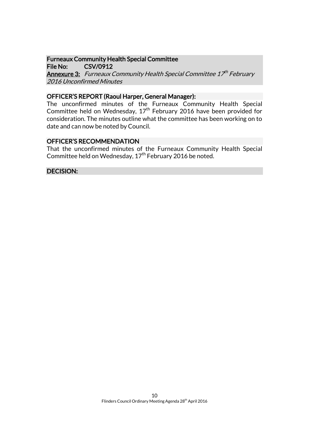# Furneaux Community Health Special Committee

File No: CSV/0912 **Annexure 3:** Furneaux Community Health Special Committee 17th February 2016 Unconfirmed Minutes

### OFFICER'S REPORT (Raoul Harper, General Manager):

The unconfirmed minutes of the Furneaux Community Health Special Committee held on Wednesday,  $17<sup>th</sup>$  February 2016 have been provided for consideration. The minutes outline what the committee has been working on to date and can now be noted by Council.

### OFFICER'S RECOMMENDATION

That the unconfirmed minutes of the Furneaux Community Health Special Committee held on Wednesday,  $17<sup>th</sup>$  February 2016 be noted.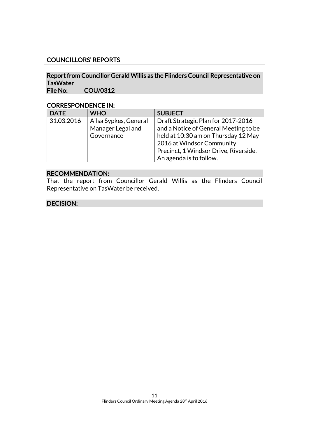# COUNCILLORS' REPORTS

### Report from Councillor Gerald Willis as the Flinders Council Representative on TasWater<br>File No: COU/0312

### CORRESPONDENCE IN:

| CONNEST ORICLING THIS |                                                          |                                                                                                                                                                                                                     |
|-----------------------|----------------------------------------------------------|---------------------------------------------------------------------------------------------------------------------------------------------------------------------------------------------------------------------|
| <b>DATE</b>           | <b>WHO</b>                                               | <b>SUBJECT</b>                                                                                                                                                                                                      |
| 31.03.2016            | Ailsa Sypkes, General<br>Manager Legal and<br>Governance | Draft Strategic Plan for 2017-2016<br>and a Notice of General Meeting to be<br>held at 10:30 am on Thursday 12 May<br>2016 at Windsor Community<br>Precinct, 1 Windsor Drive, Riverside.<br>An agenda is to follow. |
|                       |                                                          |                                                                                                                                                                                                                     |

### RECOMMENDATION:

That the report from Councillor Gerald Willis as the Flinders Council Representative on TasWater be received.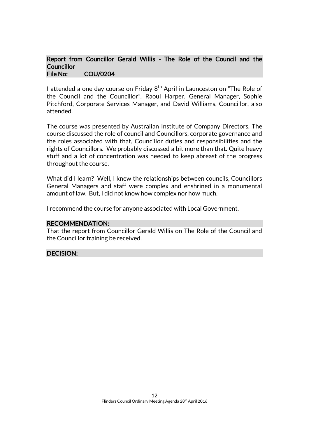#### Report from Councillor Gerald Willis - The Role of the Council and the **Councillor** File No: COU/0204

I attended a one day course on Friday  $8<sup>th</sup>$  April in Launceston on "The Role of the Council and the Councillor". Raoul Harper, General Manager, Sophie Pitchford, Corporate Services Manager, and David Williams, Councillor, also attended.

The course was presented by Australian Institute of Company Directors. The course discussed the role of council and Councillors, corporate governance and the roles associated with that, Councillor duties and responsibilities and the rights of Councillors. We probably discussed a bit more than that. Quite heavy stuff and a lot of concentration was needed to keep abreast of the progress throughout the course.

What did I learn? Well, I knew the relationships between councils, Councillors General Managers and staff were complex and enshrined in a monumental amount of law. But, I did not know how complex nor how much.

I recommend the course for anyone associated with Local Government.

#### RECOMMENDATION:

That the report from Councillor Gerald Willis on The Role of the Council and the Councillor training be received.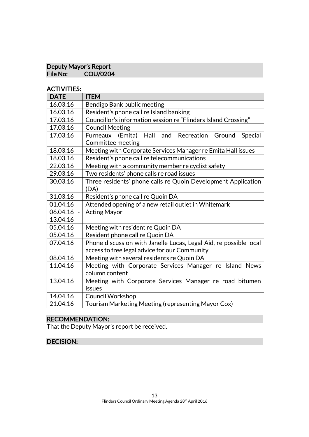### Deputy Mayor's Report<br>File No: COU/0204 COU/0204

### ACTIVITIES:

| <b>DATE</b> | <b>ITEM</b>                                                                       |
|-------------|-----------------------------------------------------------------------------------|
| 16.03.16    | Bendigo Bank public meeting                                                       |
| 16.03.16    | Resident's phone call re Island banking                                           |
| 17.03.16    | Councillor's information session re "Flinders Island Crossing"                    |
| 17.03.16    | <b>Council Meeting</b>                                                            |
| 17.03.16    | Hall<br>and Recreation Ground<br>Furneaux (Emita)<br>Special<br>Committee meeting |
| 18.03.16    | Meeting with Corporate Services Manager re Emita Hall issues                      |
| 18.03.16    | Resident's phone call re telecommunications                                       |
| 22.03.16    | Meeting with a community member re cyclist safety                                 |
| 29.03.16    | Two residents' phone calls re road issues                                         |
| 30.03.16    | Three residents' phone calls re Quoin Development Application<br>(DA)             |
| 31.03.16    | Resident's phone call re Quoin DA                                                 |
| 01.04.16    | Attended opening of a new retail outlet in Whitemark                              |
| 06.04.16    | <b>Acting Mayor</b>                                                               |
| 13.04.16    |                                                                                   |
| 05.04.16    | Meeting with resident re Quoin DA                                                 |
| 05.04.16    | Resident phone call re Quoin DA                                                   |
| 07.04.16    | Phone discussion with Janelle Lucas, Legal Aid, re possible local                 |
|             | access to free legal advice for our Community                                     |
| 08.04.16    | Meeting with several residents re Quoin DA                                        |
| 11.04.16    | Meeting with Corporate Services Manager re Island News                            |
|             | column content                                                                    |
| 13.04.16    | Meeting with Corporate Services Manager re road bitumen<br>issues                 |
| 14.04.16    | Council Workshop                                                                  |
| 21.04.16    | Tourism Marketing Meeting (representing Mayor Cox)                                |

# RECOMMENDATION:

That the Deputy Mayor's report be received.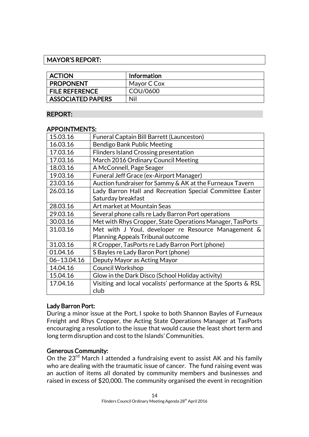### MAYOR'S REPORT:

| <b>ACTION</b>            | <b>Information</b> |
|--------------------------|--------------------|
| <b>PROPONENT</b>         | Mayor C Cox        |
| <b>FILE REFERENCE</b>    | COU/0600           |
| <b>ASSOCIATED PAPERS</b> | Nil                |

### REPORT:

#### APPOINTMENTS:

| 15.03.16    | <b>Funeral Captain Bill Barrett (Launceston)</b>              |  |
|-------------|---------------------------------------------------------------|--|
| 16.03.16    | Bendigo Bank Public Meeting                                   |  |
| 17.03.16    | <b>Flinders Island Crossing presentation</b>                  |  |
| 17.03.16    | March 2016 Ordinary Council Meeting                           |  |
| 18.03.16    | A McConnell, Page Seager                                      |  |
| 19.03.16    | <b>Funeral Jeff Grace (ex-Airport Manager)</b>                |  |
| 23.03.16    | Auction fundraiser for Sammy & AK at the Furneaux Tavern      |  |
| 26.03.16    | Lady Barron Hall and Recreation Special Committee Easter      |  |
|             | Saturday breakfast                                            |  |
| 28.03.16    | Art market at Mountain Seas                                   |  |
| 29.03.16    | Several phone calls re Lady Barron Port operations            |  |
| 30.03.16    | Met with Rhys Cropper, State Operations Manager, TasPorts     |  |
| 31.03.16    | Met with J Youl, developer re Resource Management &           |  |
|             | <b>Planning Appeals Tribunal outcome</b>                      |  |
| 31.03.16    | R Cropper, TasPorts re Lady Barron Port (phone)               |  |
| 01.04.16    | S Bayles re Lady Baron Port (phone)                           |  |
| 06-13.04.16 | Deputy Mayor as Acting Mayor                                  |  |
| 14.04.16    | <b>Council Workshop</b>                                       |  |
| 15.04.16    | Glow in the Dark Disco (School Holiday activity)              |  |
| 17.04.16    | Visiting and local vocalists' performance at the Sports & RSL |  |
|             | club                                                          |  |
|             |                                                               |  |

### Lady Barron Port:

During a minor issue at the Port, I spoke to both Shannon Bayles of Furneaux Freight and Rhys Cropper, the Acting State Operations Manager at TasPorts encouraging a resolution to the issue that would cause the least short term and long term disruption and cost to the Islands' Communities.

### Generous Community:

On the 23<sup>rd</sup> March I attended a fundraising event to assist AK and his family who are dealing with the traumatic issue of cancer. The fund raising event was an auction of items all donated by community members and businesses and raised in excess of \$20,000. The community organised the event in recognition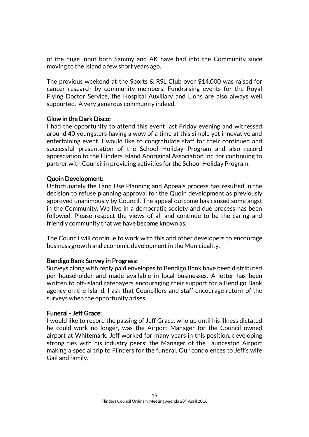of the huge input both Sammy and AK have had into the Community since moving to the Island a few short years ago.

The previous weekend at the Sports & RSL Club over \$14,000 was raised for cancer research by community members. Fundraising events for the Royal Flying Doctor Service, the Hospital Auxiliary and Lions are also always well supported. A very generous community indeed.

### Glow in the Dark Disco:

I had the opportunity to attend this event last Friday evening and witnessed around 40 youngsters having a wow of a time at this simple yet innovative and entertaining event. I would like to congratulate staff for their continued and successful presentation of the School Holiday Program and also record appreciation to the Flinders Island Aboriginal Association Inc. for continuing to partner with Council in providing activities for the School Holiday Program.

### Quoin Development:

Unfortunately the Land Use Planning and Appeals process has resulted in the decision to refuse planning approval for the Quoin development as previously approved unanimously by Council. The appeal outcome has caused some angst in the Community. We live in a democratic society and due process has been followed. Please respect the views of all and continue to be the caring and friendly community that we have become known as.

The Council will continue to work with this and other developers to encourage business growth and economic development in the Municipality.

### Bendigo Bank Survey in Progress:

Surveys along with reply paid envelopes to Bendigo Bank have been distributed per householder and made available in local businesses. A letter has been written to off-island ratepayers encouraging their support for a Bendigo Bank agency on the Island. I ask that Councillors and staff encourage return of the surveys when the opportunity arises.

### Funeral - Jeff Grace:

I would like to record the passing of Jeff Grace, who up until his illness dictated he could work no longer, was the Airport Manager for the Council owned airport at Whitemark. Jeff worked for many years in this position, developing strong ties with his industry peers; the Manager of the Launceston Airport making a special trip to Flinders for the funeral. Our condolences to Jeff's wife Gail and family.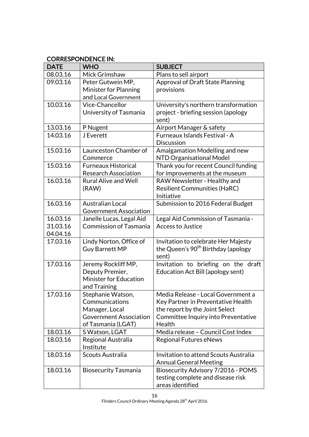# CORRESPONDENCE IN:

| <b>DATE</b> | <b>WHO</b>                                                | <b>SUBJECT</b>                                                         |
|-------------|-----------------------------------------------------------|------------------------------------------------------------------------|
| 08.03.16    | Mick Grimshaw                                             | Plans to sell airport                                                  |
| 09.03.16    | Peter Gutwein MP,                                         | <b>Approval of Draft State Planning</b>                                |
|             | Minister for Planning                                     | provisions                                                             |
|             | and Local Government                                      |                                                                        |
| 10.03.16    | Vice-Chancellor                                           | University's northern transformation                                   |
|             | University of Tasmania                                    | project - briefing session (apology                                    |
|             |                                                           | sent)                                                                  |
| 13.03.16    | P Nugent                                                  | Airport Manager & safety                                               |
| 14.03.16    | <b>J</b> Everett                                          | Furneaux Islands Festival - A<br><b>Discussion</b>                     |
| 15.03.16    | Launceston Chamber of<br>Commerce                         | Amalgamation Modelling and new<br>NTD Organisational Model             |
| 15.03.16    | <b>Furneaux Historical</b><br><b>Research Association</b> | Thank you for recent Council funding<br>for improvements at the museum |
| 16.03.16    | <b>Rural Alive and Well</b>                               | RAW Newsletter - Healthy and                                           |
|             | (RAW)                                                     | <b>Resilient Communities (HaRC)</b>                                    |
|             |                                                           | Initiative                                                             |
| 16.03.16    | <b>Australian Local</b>                                   | Submission to 2016 Federal Budget                                      |
|             | <b>Government Association</b>                             |                                                                        |
| 16.03.16    | Janelle Lucas, Legal Aid                                  | Legal Aid Commission of Tasmania -                                     |
| 31.03.16    | <b>Commission of Tasmania</b>                             | <b>Access to Justice</b>                                               |
| 04.04.16    |                                                           |                                                                        |
| 17.03.16    | Lindy Norton, Office of                                   | Invitation to celebrate Her Majesty                                    |
|             | <b>Guy Barnett MP</b>                                     | the Queen's 90 <sup>th</sup> Birthday (apology                         |
|             |                                                           | sent)                                                                  |
| 17.03.16    | Jeremy Rockliff MP,                                       | Invitation to briefing on the draft                                    |
|             | Deputy Premier,<br><b>Minister for Education</b>          | Education Act Bill (apology sent)                                      |
|             | and Training                                              |                                                                        |
| 17.03.16    | Stephanie Watson,                                         | Media Release - Local Government a                                     |
|             | Communications                                            | Key Partner in Preventative Health                                     |
|             | Manager, Local                                            | the report by the Joint Select                                         |
|             | <b>Government Association</b>                             | Committee Inquiry into Preventative                                    |
|             | of Tasmania (LGAT)                                        | Health                                                                 |
| 18.03.16    | S Watson, LGAT                                            | Media release - Council Cost Index                                     |
| 18.03.16    | Regional Australia                                        | Regional Futures eNews                                                 |
|             | Institute                                                 |                                                                        |
| 18.03.16    | Scouts Australia                                          | Invitation to attend Scouts Australia                                  |
|             |                                                           | <b>Annual General Meeting</b>                                          |
| 18.03.16    | <b>Biosecurity Tasmania</b>                               | Biosecurity Advisory 7/2016 - POMS                                     |
|             |                                                           | testing complete and disease risk                                      |
|             |                                                           | areas identified                                                       |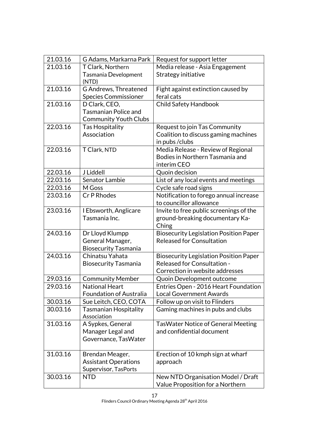| 21.03.16 | G Adams, Markarna Park                           | Request for support letter                                             |
|----------|--------------------------------------------------|------------------------------------------------------------------------|
| 21.03.16 | T Clark, Northern                                | Media release - Asia Engagement                                        |
|          | Tasmania Development<br>(NTD)                    | Strategy initiative                                                    |
| 21.03.16 | G Andrews, Threatened                            | Fight against extinction caused by                                     |
|          | <b>Species Commissioner</b>                      | feral cats                                                             |
| 21.03.16 | D Clark, CEO,                                    | <b>Child Safety Handbook</b>                                           |
|          | <b>Tasmanian Police and</b>                      |                                                                        |
|          | <b>Community Youth Clubs</b>                     |                                                                        |
| 22.03.16 | <b>Tas Hospitality</b>                           | Request to join Tas Community                                          |
|          | Association                                      | Coalition to discuss gaming machines                                   |
|          |                                                  | in pubs/clubs                                                          |
| 22.03.16 | T Clark, NTD                                     | Media Release - Review of Regional                                     |
|          |                                                  | Bodies in Northern Tasmania and                                        |
|          |                                                  | interim CEO                                                            |
| 22.03.16 | J Liddell                                        | Quoin decision                                                         |
| 22.03.16 | Senator Lambie                                   | List of any local events and meetings                                  |
| 22.03.16 | M Goss                                           | Cycle safe road signs                                                  |
| 23.03.16 | Cr P Rhodes                                      | Notification to forego annual increase                                 |
|          |                                                  | to councillor allowance                                                |
| 23.03.16 | I Ebsworth, Anglicare                            | Invite to free public screenings of the                                |
|          | Tasmania Inc.                                    | ground-breaking documentary Ka-                                        |
|          |                                                  | Ching                                                                  |
| 24.03.16 | Dr Lloyd Klumpp                                  | <b>Biosecurity Legislation Position Paper</b>                          |
|          | General Manager,                                 | <b>Released for Consultation</b>                                       |
|          | <b>Biosecurity Tasmania</b>                      |                                                                        |
| 24.03.16 | Chinatsu Yahata                                  | <b>Biosecurity Legislation Position Paper</b>                          |
|          | <b>Biosecurity Tasmania</b>                      | Released for Consultation -                                            |
|          |                                                  | Correction in website addresses                                        |
| 29.03.16 | <b>Community Member</b>                          | Quoin Development outcome                                              |
| 29.03.16 | National Heart<br><b>Foundation of Australia</b> | Entries Open - 2016 Heart Foundation<br><b>Local Government Awards</b> |
| 30.03.16 |                                                  | Follow up on visit to Flinders                                         |
| 30.03.16 | Sue Leitch, CEO, COTA                            |                                                                        |
|          | Tasmanian Hospitality<br>Association             | Gaming machines in pubs and clubs                                      |
| 31.03.16 | A Sypkes, General                                | <b>TasWater Notice of General Meeting</b>                              |
|          | Manager Legal and                                | and confidential document                                              |
|          | Governance, TasWater                             |                                                                        |
| 31.03.16 | Brendan Meager,                                  | Erection of 10 kmph sign at wharf                                      |
|          | <b>Assistant Operations</b>                      | approach                                                               |
|          | Supervisor, TasPorts                             |                                                                        |
| 30.03.16 | <b>NTD</b>                                       | New NTD Organisation Model / Draft                                     |
|          |                                                  | Value Proposition for a Northern                                       |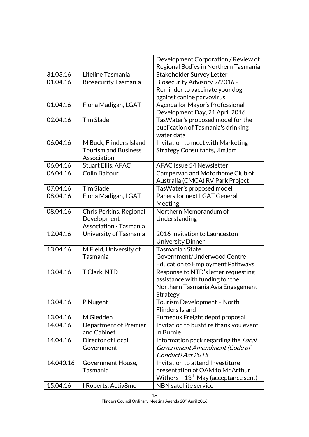|           |                               | Development Corporation / Review of<br>Regional Bodies in Northern Tasmania |
|-----------|-------------------------------|-----------------------------------------------------------------------------|
| 31.03.16  | Lifeline Tasmania             | Stakeholder Survey Letter                                                   |
| 01.04.16  | <b>Biosecurity Tasmania</b>   | Biosecurity Advisory 9/2016 -                                               |
|           |                               | Reminder to vaccinate your dog                                              |
|           |                               | against canine parvovirus                                                   |
| 01.04.16  | Fiona Madigan, LGAT           | Agenda for Mayor's Professional                                             |
|           |                               | Development Day, 21 April 2016                                              |
| 02.04.16  | <b>Tim Slade</b>              | TasWater's proposed model for the                                           |
|           |                               | publication of Tasmania's drinking                                          |
|           |                               | water data                                                                  |
| 06.04.16  | M Buck, Flinders Island       | Invitation to meet with Marketing                                           |
|           | <b>Tourism and Business</b>   | Strategy Consultants, JimJam                                                |
|           | Association                   |                                                                             |
| 06.04.16  | Stuart Ellis, AFAC            | <b>AFAC Issue 54 Newsletter</b>                                             |
| 06.04.16  | <b>Colin Balfour</b>          | Campervan and Motorhome Club of                                             |
|           |                               | Australia (CMCA) RV Park Project                                            |
| 07.04.16  | <b>Tim Slade</b>              | TasWater's proposed model                                                   |
| 08.04.16  | Fiona Madigan, LGAT           | Papers for next LGAT General                                                |
|           |                               | Meeting                                                                     |
| 08.04.16  | Chris Perkins, Regional       | Northern Memorandum of                                                      |
|           | Development                   | Understanding                                                               |
|           | <b>Association - Tasmania</b> |                                                                             |
| 12.04.16  | University of Tasmania        | 2016 Invitation to Launceston                                               |
|           |                               | <b>University Dinner</b>                                                    |
| 13.04.16  | M Field, University of        | <b>Tasmanian State</b>                                                      |
|           | Tasmania                      | Government/Underwood Centre                                                 |
|           |                               | <b>Education to Employment Pathways</b>                                     |
| 13.04.16  | T Clark, NTD                  | Response to NTD's letter requesting                                         |
|           |                               | assistance with funding for the                                             |
|           |                               | Northern Tasmania Asia Engagement                                           |
|           |                               | Strategy                                                                    |
| 13.04.16  | P Nugent                      | Tourism Development - North                                                 |
|           |                               | <b>Flinders Island</b>                                                      |
| 13.04.16  | M Gledden                     | Furneaux Freight depot proposal                                             |
| 14.04.16  | <b>Department of Premier</b>  | Invitation to bushfire thank you event                                      |
|           | and Cabinet                   | in Burnie                                                                   |
| 14.04.16  | Director of Local             | Information pack regarding the Local                                        |
|           | Government                    | Government Amendment (Code of                                               |
|           |                               | Conduct) Act 2015                                                           |
| 14.040.16 | Government House,             | Invitation to attend Investiture                                            |
|           | Tasmania                      | presentation of OAM to Mr Arthur                                            |
|           |                               | Withers – $13th$ May (acceptance sent)                                      |
| 15.04.16  | I Roberts, Activ8me           | NBN satellite service                                                       |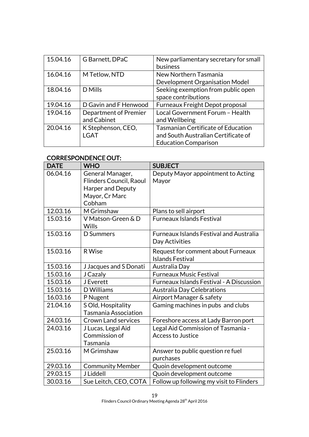| 15.04.16 | G Barnett, DPaC       | New parliamentary secretary for small     |
|----------|-----------------------|-------------------------------------------|
|          |                       | business                                  |
| 16.04.16 | M Tetlow, NTD         | New Northern Tasmania                     |
|          |                       | Development Organisation Model            |
| 18.04.16 | D Mills               | Seeking exemption from public open        |
|          |                       | space contributions                       |
| 19.04.16 | D Gavin and F Henwood | Furneaux Freight Depot proposal           |
| 19.04.16 | Department of Premier | Local Government Forum - Health           |
|          | and Cabinet           | and Wellbeing                             |
| 20.04.16 | K Stephenson, CEO,    | <b>Tasmanian Certificate of Education</b> |
|          | <b>LGAT</b>           | and South Australian Certificate of       |
|          |                       | <b>Education Comparison</b>               |

# CORRESPONDENCE OUT:

| <b>DATE</b> | <b>WHO</b>                                                                                   | <b>SUBJECT</b>                                                   |
|-------------|----------------------------------------------------------------------------------------------|------------------------------------------------------------------|
| 06.04.16    | General Manager,<br>Flinders Council, Raoul<br>Harper and Deputy<br>Mayor, Cr Marc<br>Cobham | Deputy Mayor appointment to Acting<br>Mayor                      |
| 12.03.16    | M Grimshaw                                                                                   | Plans to sell airport                                            |
| 15.03.16    | V Matson-Green & D<br><b>Wills</b>                                                           | <b>Furneaux Islands Festival</b>                                 |
| 15.03.16    | D Summers                                                                                    | <b>Furneaux Islands Festival and Australia</b><br>Day Activities |
| 15.03.16    | <b>R</b> Wise                                                                                | Request for comment about Furneaux<br><b>Islands Festival</b>    |
| 15.03.16    | J Jacques and S Donati                                                                       | Australia Day                                                    |
| 15.03.16    | J Cazaly                                                                                     | <b>Furneaux Music Festival</b>                                   |
| 15.03.16    | J Everett                                                                                    | <b>Furneaux Islands Festival - A Discussion</b>                  |
| 15.03.16    | D Williams                                                                                   | <b>Australia Day Celebrations</b>                                |
| 16.03.16    | P Nugent                                                                                     | Airport Manager & safety                                         |
| 21.04.16    | S Old, Hospitality<br>Tasmania Association                                                   | Gaming machines in pubs and clubs                                |
| 24.03.16    | <b>Crown Land services</b>                                                                   | Foreshore access at Lady Barron port                             |
| 24.03.16    | J Lucas, Legal Aid<br>Commission of<br>Tasmania                                              | Legal Aid Commission of Tasmania -<br><b>Access to Justice</b>   |
| 25.03.16    | M Grimshaw                                                                                   | Answer to public question re fuel<br>purchases                   |
| 29.03.16    | <b>Community Member</b>                                                                      | Quoin development outcome                                        |
| 29.03.15    | J Liddell                                                                                    | Quoin development outcome                                        |
| 30.03.16    | Sue Leitch, CEO, COTA                                                                        | Follow up following my visit to Flinders                         |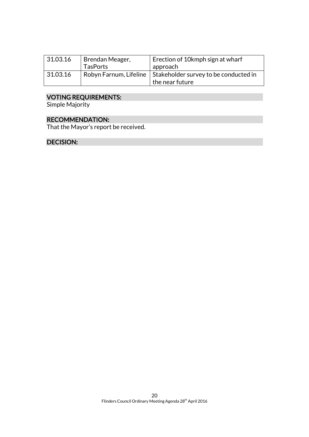| 31.03.16 | Brendan Meager,<br><b>TasPorts</b> | Erection of 10kmph sign at wharf<br>approach                                      |
|----------|------------------------------------|-----------------------------------------------------------------------------------|
| 31.03.16 |                                    | Robyn Farnum, Lifeline   Stakeholder survey to be conducted in<br>the near future |

### VOTING REQUIREMENTS:

Simple Majority

# RECOMMENDATION:

That the Mayor's report be received.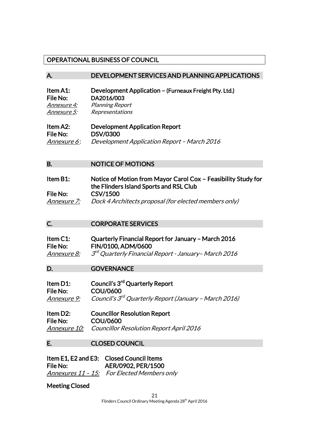# OPERATIONAL BUSINESS OF COUNCIL

### A. DEVELOPMENT SERVICES AND PLANNING APPLICATIONS

| Development Application – (Furneaux Freight Pty. Ltd.) |  |
|--------------------------------------------------------|--|
| DA2016/003                                             |  |
| <b>Planning Report</b>                                 |  |
| Representations                                        |  |
|                                                        |  |

| Item A2:            | <b>Development Application Report</b>              |
|---------------------|----------------------------------------------------|
| File No:            | <b>DSV/0300</b>                                    |
| <i>Annexure 6</i> : | <b>Development Application Report - March 2016</b> |

#### B. NOTICE OF MOTIONS

| Item B1:    | Notice of Motion from Mayor Carol Cox - Feasibility Study for |
|-------------|---------------------------------------------------------------|
|             | the Flinders Island Sports and RSL Club                       |
| File No:    | CSV/1500                                                      |
| Annexure 7: | Dock 4 Architects proposal (for elected members only)         |

#### C. CORPORATE SERVICES

| Item C1:    | Quarterly Financial Report for January - March 2016     |
|-------------|---------------------------------------------------------|
| File No:    | FIN/0100, ADM/0600                                      |
| Annexure 8: | $3rd$ Quarterly Financial Report - January - March 2016 |

### D. **GOVERNANCE**

| Item D1:    | Council's 3 <sup>rd</sup> Quarterly Report                        |
|-------------|-------------------------------------------------------------------|
| File No:    | COU/0600                                                          |
| Annexure 9: | Council's 3 <sup>rd</sup> Quarterly Report (January - March 2016) |

Item D2: Councillor Resolution Report File No: COU/0600 Annexure 10: Councillor Resolution Report April 2016

### E. CLOSED COUNCIL

Item E1, E2 and E3: Closed Council Items File No: AER/0902, PER/1500 Annexures 11 - 15: For Elected Members only

### Meeting Closed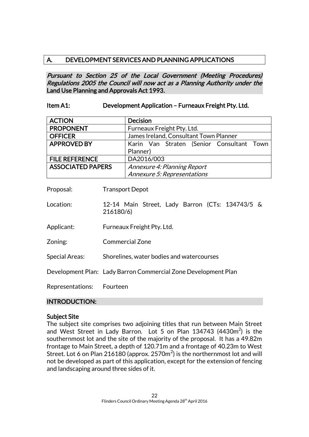# A. DEVELOPMENT SERVICES AND PLANNING APPLICATIONS

Pursuant to Section 25 of the Local Government (Meeting Procedures) Regulations 2005 the Council will now act as a Planning Authority under the Land Use Planning and Approvals Act 1993.

## Item A1: Development Application – Furneaux Freight Pty. Ltd.

| <b>ACTION</b>            | <b>Decision</b>                           |  |
|--------------------------|-------------------------------------------|--|
| <b>PROPONENT</b>         | Furneaux Freight Pty. Ltd.                |  |
| <b>OFFICER</b>           | James Ireland, Consultant Town Planner    |  |
| <b>APPROVED BY</b>       | Karin Van Straten (Senior Consultant Town |  |
|                          | Planner)                                  |  |
| <b>FILE REFERENCE</b>    | DA2016/003                                |  |
| <b>ASSOCIATED PAPERS</b> | Annexure 4: Planning Report               |  |
|                          | Annexure 5: Representations               |  |

- Proposal: Transport Depot
- Location: 12-14 Main Street, Lady Barron (CTs: 134743/5 & 216180/6)
- Applicant: Furneaux Freight Pty. Ltd.
- Zoning: Commercial Zone
- Special Areas: Shorelines, water bodies and watercourses

Development Plan: Lady Barron Commercial Zone Development Plan

Representations: Fourteen

### INTRODUCTION:

### Subject Site

The subject site comprises two adjoining titles that run between Main Street and West Street in Lady Barron. Lot 5 on Plan  $134743$  (4430m<sup>2</sup>) is the southernmost lot and the site of the majority of the proposal. It has a 49.82m frontage to Main Street, a depth of 120.71m and a frontage of 40.23m to West Street. Lot 6 on Plan 216180 (approx. 2570 $\mathrm{m}^{2}$ ) is the northernmost lot and will not be developed as part of this application, except for the extension of fencing and landscaping around three sides of it.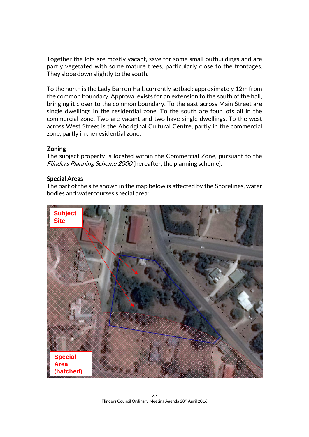Together the lots are mostly vacant, save for some small outbuildings and are partly vegetated with some mature trees, particularly close to the frontages. They slope down slightly to the south.

To the north is the Lady Barron Hall, currently setback approximately 12m from the common boundary. Approval exists for an extension to the south of the hall, bringing it closer to the common boundary. To the east across Main Street are single dwellings in the residential zone. To the south are four lots all in the commercial zone. Two are vacant and two have single dwellings. To the west across West Street is the Aboriginal Cultural Centre, partly in the commercial zone, partly in the residential zone.

### Zoning

The subject property is located within the Commercial Zone, pursuant to the Flinders Planning Scheme 2000 (hereafter, the planning scheme).

### Special Areas

The part of the site shown in the map below is affected by the Shorelines, water bodies and watercourses special area:

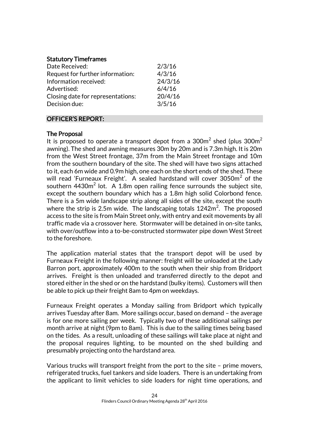### Statutory Timeframes

| Date Received:                    | 2/3/16  |
|-----------------------------------|---------|
| Request for further information:  | 4/3/16  |
| Information received:             | 24/3/16 |
| Advertised:                       | 6/4/16  |
| Closing date for representations: | 20/4/16 |
| Decision due:                     | 3/5/16  |
|                                   |         |

### OFFICER'S REPORT:

## The Proposal

It is proposed to operate a transport depot from a 300m $^2$  shed (plus 300m $^2$ awning). The shed and awning measures 30m by 20m and is 7.3m high. It is 20m from the West Street frontage, 37m from the Main Street frontage and 10m from the southern boundary of the site. The shed will have two signs attached to it, each 6m wide and 0.9m high, one each on the short ends of the shed. These will read 'Furneaux Freight'.  $\,$  sealed hardstand will cover 3050 $\mathrm{m}^2$  of the southern 4430m<sup>2</sup> lot. A 1.8m open railing fence surrounds the subject site, except the southern boundary which has a 1.8m high solid Colorbond fence. There is a 5m wide landscape strip along all sides of the site, except the south where the strip is 2.5m wide. The landscaping totals  $1242\mathsf{m}^2$ . The proposed access to the site is from Main Street only, with entry and exit movements by all traffic made via a crossover here. Stormwater will be detained in on-site tanks, with over/outflow into a to-be-constructed stormwater pipe down West Street to the foreshore.

The application material states that the transport depot will be used by Furneaux Freight in the following manner: freight will be unloaded at the Lady Barron port, approximately 400m to the south when their ship from Bridport arrives. Freight is then unloaded and transferred directly to the depot and stored either in the shed or on the hardstand (bulky items). Customers will then be able to pick up their freight 8am to 4pm on weekdays.

Furneaux Freight operates a Monday sailing from Bridport which typically arrives Tuesday after 8am. More sailings occur, based on demand – the average is for one more sailing per week. Typically two of these additional sailings per month arrive at night (9pm to 8am). This is due to the sailing times being based on the tides. As a result, unloading of these sailings will take place at night and the proposal requires lighting, to be mounted on the shed building and presumably projecting onto the hardstand area.

Various trucks will transport freight from the port to the site – prime movers, refrigerated trucks, fuel tankers and side loaders. There is an undertaking from the applicant to limit vehicles to side loaders for night time operations, and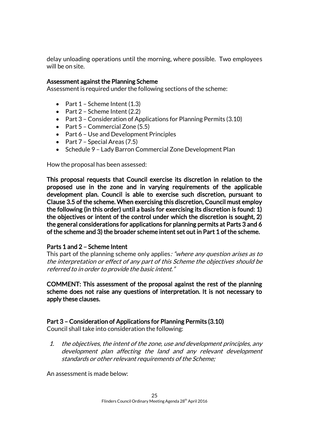delay unloading operations until the morning, where possible. Two employees will be on site.

### Assessment against the Planning Scheme

Assessment is required under the following sections of the scheme:

- Part  $1$  Scheme Intent  $(1.3)$
- Part  $2$  Scheme Intent (2.2)
- Part 3 Consideration of Applications for Planning Permits (3.10)
- Part  $5$  Commercial Zone (5.5)
- Part 6 Use and Development Principles
- Part  $7 -$  Special Areas (7.5)
- Schedule 9 Lady Barron Commercial Zone Development Plan

How the proposal has been assessed:

This proposal requests that Council exercise its discretion in relation to the proposed use in the zone and in varying requirements of the applicable development plan. Council is able to exercise such discretion, pursuant to Clause 3.5 of the scheme. When exercising this discretion, Council must employ the following (in this order) until a basis for exercising its discretion is found: 1) the objectives or intent of the control under which the discretion is sought, 2) the general considerations for applications for planning permits at Parts 3 and 6 of the scheme and 3) the broader scheme intent set out in Part 1 of the scheme.

### Parts 1 and 2 – Scheme Intent

This part of the planning scheme only applies: "where any question arises as to the interpretation or effect of any part of this Scheme the objectives should be referred to in order to provide the basic intent."

COMMENT: This assessment of the proposal against the rest of the planning scheme does not raise any questions of interpretation. It is not necessary to apply these clauses.

#### Part 3 – Consideration of Applications for Planning Permits (3.10) Council shall take into consideration the following:

- 
- 1. the objectives, the intent of the zone, use and development principles, any development plan affecting the land and any relevant development standards or other relevant requirements of the Scheme;

An assessment is made below: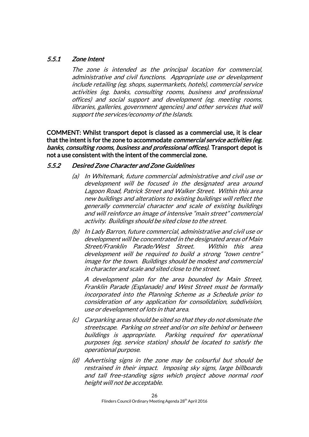# 5.5.1 Zone Intent

The zone is intended as the principal location for commercial, administrative and civil functions. Appropriate use or development include retailing (eg. shops, supermarkets, hotels), commercial service activities (eg. banks, consulting rooms, business and professional offices) and social support and development (eg. meeting rooms, libraries, galleries, government agencies) and other services that will support the services/economy of the Islands.

COMMENT: Whilst transport depot is classed as a commercial use, it is clear that the intent is for the zone to accommodate *commercial service activities (eg.* banks, consulting rooms, business and professional offices). Transport depot is not a use consistent with the intent of the commercial zone.

### 5.5.2 Desired Zone Character and Zone Guidelines

- (a) In Whitemark, future commercial administrative and civil use or development will be focused in the designated area around Lagoon Road, Patrick Street and Walker Street. Within this area new buildings and alterations to existing buildings will reflect the generally commercial character and scale of existing buildings and will reinforce an image of intensive "main street" commercial activity. Buildings should be sited close to the street.
- (b) In Lady Barron, future commercial, administrative and civil use or development will be concentrated in the designated areas of Main Street/Franklin Parade/West Street. Within this area development will be required to build a strong "town centre" image for the town. Buildings should be modest and commercial in character and scale and sited close to the street.

A development plan for the area bounded by Main Street, Franklin Parade (Esplanade) and West Street must be formally incorporated into the Planning Scheme as a Schedule prior to consideration of any application for consolidation, subdivision, use or development of lots in that area.

- (c) Carparking areas should be sited so that they do not dominate the streetscape. Parking on street and/or on site behind or between buildings is appropriate. Parking required for operational purposes (eg. service station) should be located to satisfy the operational purpose.
- (d) Advertising signs in the zone may be colourful but should be restrained in their impact. Imposing sky signs, large billboards and tall free-standing signs which project above normal roof height will not be acceptable.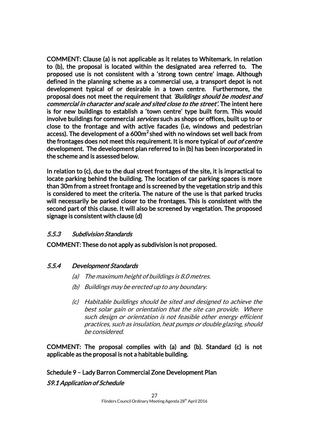COMMENT: Clause (a) is not applicable as it relates to Whitemark. In relation to (b), the proposal is located within the designated area referred to. The proposed use is not consistent with a 'strong town centre' image. Although defined in the planning scheme as a commercial use, a transport depot is not development typical of or desirable in a town centre. Furthermore, the proposal does not meet the requirement that 'Buildings should be modest and commercial in character and scale and sited close to the street'. The intent here is for new buildings to establish a 'town centre' type built form. This would involve buildings for commercial *services* such as shops or offices, built up to or close to the frontage and with active facades (i.e, windows and pedestrian access). The development of a 600m<sup>2</sup> shed with no windows set well back from the frontages does not meet this requirement. It is more typical of *out of centre* development. The development plan referred to in (b) has been incorporated in the scheme and is assessed below.

In relation to (c), due to the dual street frontages of the site, it is impractical to locate parking behind the building. The location of car parking spaces is more than 30m from a street frontage and is screened by the vegetation strip and this is considered to meet the criteria. The nature of the use is that parked trucks will necessarily be parked closer to the frontages. This is consistent with the second part of this clause. It will also be screened by vegetation. The proposed signage is consistent with clause (d)

# 5.5.3 Subdivision Standards

COMMENT: These do not apply as subdivision is not proposed.

# 5.5.4 Development Standards

- (a) The maximum height of buildings is 8.0 metres.
- (b) Buildings may be erected up to any boundary.
- (c) Habitable buildings should be sited and designed to achieve the best solar gain or orientation that the site can provide. Where such design or orientation is not feasible other energy efficient practices, such as insulation, heat pumps or double glazing, should be considered.

COMMENT: The proposal complies with (a) and (b). Standard (c) is not applicable as the proposal is not a habitable building.

Schedule 9 – Lady Barron Commercial Zone Development Plan S9.1 Application of Schedule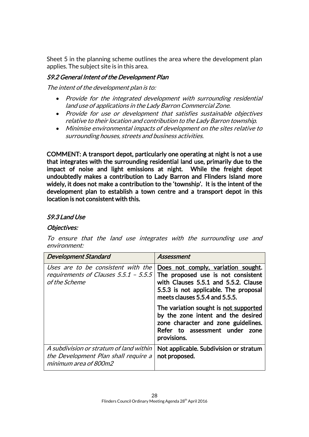Sheet 5 in the planning scheme outlines the area where the development plan applies. The subject site is in this area.

# S9.2 General Intent of the Development Plan

The intent of the development plan is to:

- Provide for the integrated development with surrounding residential land use of applications in the Lady Barron Commercial Zone.
- Provide for use or development that satisfies sustainable objectives relative to their location and contribution to the Lady Barron township.
- Minimise environmental impacts of development on the sites relative to surrounding houses, streets and business activities.

COMMENT: A transport depot, particularly one operating at night is not a use that integrates with the surrounding residential land use, primarily due to the impact of noise and light emissions at night. While the freight depot undoubtedly makes a contribution to Lady Barron and Flinders Island more widely, it does not make a contribution to the 'township'. It is the intent of the development plan to establish a town centre and a transport depot in this location is not consistent with this.

# S9.3 Land Use

### Objectives:

To ensure that the land use integrates with the surrounding use and environment:

| <b>Development Standard</b>                                                                              | Assessment                                                                                                                                                                                  |
|----------------------------------------------------------------------------------------------------------|---------------------------------------------------------------------------------------------------------------------------------------------------------------------------------------------|
| Uses are to be consistent with the<br>requirements of Clauses 5.5.1 - 5.5.5<br>of the Scheme             | Does not comply, variation sought.<br>The proposed use is not consistent<br>with Clauses 5.5.1 and 5.5.2. Clause<br>5.5.3 is not applicable. The proposal<br>meets clauses 5.5.4 and 5.5.5. |
|                                                                                                          | The variation sought is not supported<br>by the zone intent and the desired<br>zone character and zone guidelines.<br>Refer to assessment under<br>zone<br>provisions.                      |
| A subdivision or stratum of land within<br>the Development Plan shall require a<br>minimum area of 800m2 | Not applicable. Subdivision or stratum<br>not proposed.                                                                                                                                     |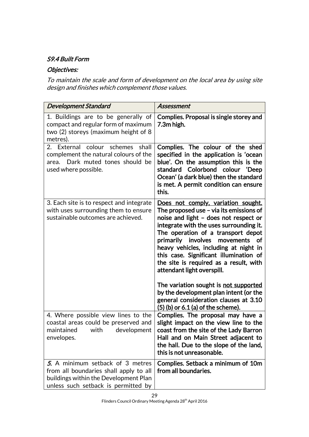# S9.4 Built Form

# Objectives:

To maintain the scale and form of development on the local area by using site design and finishes which complement those values.

| <b>Development Standard</b>                                                                                                                                | Assessment                                                                                                                                                                                                                                                                                                                                                                                                  |
|------------------------------------------------------------------------------------------------------------------------------------------------------------|-------------------------------------------------------------------------------------------------------------------------------------------------------------------------------------------------------------------------------------------------------------------------------------------------------------------------------------------------------------------------------------------------------------|
| 1. Buildings are to be generally of<br>compact and regular form of maximum<br>two (2) storeys (maximum height of 8<br>metres).                             | Complies. Proposal is single storey and<br>7.3m high.                                                                                                                                                                                                                                                                                                                                                       |
| colour schemes<br>shall<br>2. External<br>complement the natural colours of the<br>area. Dark muted tones should be<br>used where possible.                | Complies. The colour of the shed<br>specified in the application is 'ocean<br>blue'. On the assumption this is the<br>standard Colorbond colour 'Deep<br>Ocean' (a dark blue) then the standard<br>is met. A permit condition can ensure<br>this.                                                                                                                                                           |
| 3. Each site is to respect and integrate<br>with uses surrounding them to ensure<br>sustainable outcomes are achieved.                                     | Does not comply, variation sought.<br>The proposed use – via its emissions of<br>noise and light - does not respect or<br>integrate with the uses surrounding it.<br>The operation of a transport depot<br>primarily involves<br>movements<br>of<br>heavy vehicles, including at night in<br>this case. Significant illumination of<br>the site is required as a result, with<br>attendant light overspill. |
|                                                                                                                                                            | The variation sought is not supported<br>by the development plan intent (or the<br>general consideration clauses at 3.10<br>$(5)$ (b) or 6.1 (a) of the scheme).                                                                                                                                                                                                                                            |
| 4. Where possible view lines to the<br>coastal areas could be preserved and<br>maintained<br>with<br>development<br>envelopes.                             | Complies. The proposal may have a<br>slight impact on the view line to the<br>coast from the site of the Lady Barron<br>Hall and on Main Street adjacent to<br>the hall. Due to the slope of the land,<br>this is not unreasonable.                                                                                                                                                                         |
| 5. A minimum setback of 3 metres<br>from all boundaries shall apply to all<br>buildings within the Development Plan<br>unless such setback is permitted by | Complies. Setback a minimum of 10m<br>from all boundaries.                                                                                                                                                                                                                                                                                                                                                  |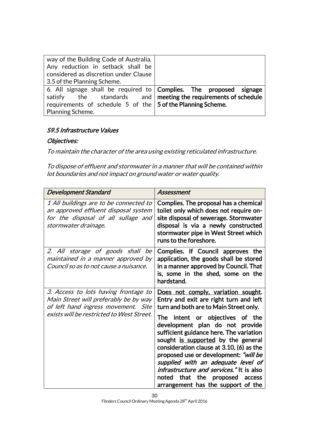| way of the Building Code of Australia.<br>Any reduction in setback shall be<br>considered as discretion under Clause |  |
|----------------------------------------------------------------------------------------------------------------------|--|
| 3.5 of the Planning Scheme.                                                                                          |  |
| 6. All signage shall be required to <b>Complies.</b> The <b>proposed</b> signage                                     |  |
| satisfy the standards and meeting the requirements of schedule                                                       |  |
| requirements of schedule 5 of the $\frac{1}{5}$ of the Planning Scheme.                                              |  |
| Planning Scheme.                                                                                                     |  |

## S9.5 Infrastructure Values

# Objectives:

To maintain the character of the area using existing reticulated infrastructure.

To dispose of effluent and stormwater in a manner that will be contained within lot boundaries and not impact on ground water or water quality.

| <b>Development Standard</b>                                                                                                                                       | Assessment                                                                                                                                                                                                                                                                                                                                                                                                                                                                                                                                    |
|-------------------------------------------------------------------------------------------------------------------------------------------------------------------|-----------------------------------------------------------------------------------------------------------------------------------------------------------------------------------------------------------------------------------------------------------------------------------------------------------------------------------------------------------------------------------------------------------------------------------------------------------------------------------------------------------------------------------------------|
| 1 All buildings are to be connected to<br>an approved effluent disposal system<br>for the disposal of all sullage and<br>stormwater drainage.                     | Complies. The proposal has a chemical<br>toilet only which does not require on-<br>site disposal of sewerage. Stormwater<br>disposal is via a newly constructed<br>stormwater pipe in West Street which<br>runs to the foreshore.                                                                                                                                                                                                                                                                                                             |
| 2. All storage of goods shall be<br>maintained in a manner approved by<br>Council so as to not cause a nuisance.                                                  | Complies. If Council approves the<br>application, the goods shall be stored<br>in a manner approved by Council. That<br>is, some in the shed, some on the<br>hardstand.                                                                                                                                                                                                                                                                                                                                                                       |
| 3. Access to lots having frontage to<br>Main Street will preferably be by way<br>of left hand ingress movement. Site<br>exists will be restricted to West Street. | Does not comply, variation sought.<br>Entry and exit are right turn and left<br>turn and both are to Main Street only.<br>The<br>intent or objectives of the<br>development plan do not provide<br>sufficient guidance here. The variation<br>sought is supported by the general<br>consideration clause at 3.10, (6) as the<br>proposed use or development: "will be<br>supplied with an adequate level of<br><i>infrastructure and services.</i> " It is also<br>that the proposed<br>noted<br>access<br>arrangement has the support of the |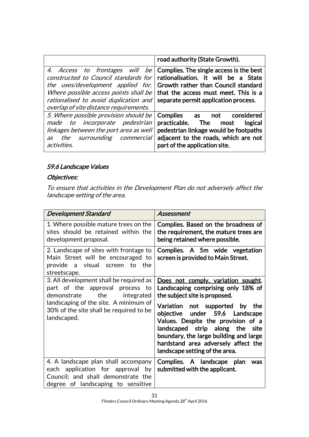|                                                                                                                                                                             | road authority (State Growth).                                                                                                                                                                                                                                            |
|-----------------------------------------------------------------------------------------------------------------------------------------------------------------------------|---------------------------------------------------------------------------------------------------------------------------------------------------------------------------------------------------------------------------------------------------------------------------|
| the uses/development applied for.<br>Where possible access points shall be<br>rationalised to avoid duplication and                                                         | 4. Access to frontages will be Complies. The single access is the best<br>constructed to Council standards for rationalisation. It will be a State<br>Growth rather than Council standard<br>that the access must meet. This is a<br>separate permit application process. |
| overlap of site distance requirements.                                                                                                                                      |                                                                                                                                                                                                                                                                           |
| 5. Where possible provision should be<br>made to incorporate pedestrian<br>linkages between the port area as well<br>the surrounding commercial<br>as<br><i>activities.</i> | Complies as not<br>considered<br>practicable. The<br>logical<br>most<br>pedestrian linkage would be footpaths<br>adjacent to the roads, which are not<br>part of the application site.                                                                                    |

## S9.6 Landscape Values

## Objectives:

To ensure that activities in the Development Plan do not adversely affect the landscape setting of the area.

| <b>Development Standard</b>                                                                                                                                                                                       | Assessment                                                                                                                                                                                                                                                         |
|-------------------------------------------------------------------------------------------------------------------------------------------------------------------------------------------------------------------|--------------------------------------------------------------------------------------------------------------------------------------------------------------------------------------------------------------------------------------------------------------------|
| 1. Where possible mature trees on the<br>sites should be retained within the<br>development proposal.                                                                                                             | Complies. Based on the broadness of<br>the requirement, the mature trees are<br>being retained where possible.                                                                                                                                                     |
| 2. Landscape of sites with frontage to<br>Main Street will be encouraged to<br>provide a visual screen to the<br>streetscape.                                                                                     | Complies. A 5m wide vegetation<br>screen is provided to Main Street.                                                                                                                                                                                               |
| 3. All development shall be required as<br>part of the approval process to<br>the<br>demonstrate<br>integrated<br>landscaping of the site. A minimum of<br>30% of the site shall be required to be<br>landscaped. | Does not comply, variation sought.<br>Landscaping comprising only 18% of<br>the subject site is proposed.                                                                                                                                                          |
|                                                                                                                                                                                                                   | Variation not supported by<br>the<br>objective under S9.6 Landscape<br>Values. Despite the provision of a<br>landscaped strip along the<br>site<br>boundary, the large building and large<br>hardstand area adversely affect the<br>landscape setting of the area. |
| 4. A landscape plan shall accompany<br>each application for approval by<br>Council; and shall demonstrate the<br>degree of landscaping to sensitive                                                               | Complies. A landscape plan<br>was<br>submitted with the applicant.                                                                                                                                                                                                 |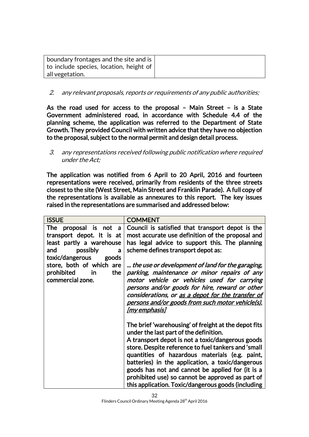| boundary frontages and the site and is $ $ |  |
|--------------------------------------------|--|
| to include species, location, height of    |  |
| all vegetation.                            |  |

### 2. any relevant proposals, reports or requirements of any public authorities;

As the road used for access to the proposal – Main Street – is a State Government administered road, in accordance with Schedule 4.4 of the planning scheme, the application was referred to the Department of State Growth. They provided Council with written advice that they have no objection to the proposal, subject to the normal permit and design detail process.

### 3. any representations received following public notification where required under the Act;

The application was notified from 6 April to 20 April, 2016 and fourteen representations were received, primarily from residents of the three streets closest to the site (West Street, Main Street and Franklin Parade). A full copy of the representations is available as annexures to this report. The key issues raised in the representations are summarised and addressed below:

| <b>ISSUE</b>                    | <b>COMMENT</b>                                          |
|---------------------------------|---------------------------------------------------------|
| <b>The</b><br>proposal is not a | Council is satisfied that transport depot is the        |
| transport depot. It is at       | most accurate use definition of the proposal and        |
| least partly a warehouse        | has legal advice to support this. The planning          |
| possibly<br>and<br>a            | scheme defines transport depot as:                      |
| toxic/dangerous<br>goods        |                                                         |
| store, both of which are        | the use or development of land for the garaging,        |
| prohibited<br>the<br>in         | parking, maintenance or minor repairs of any            |
| commercial zone.                | motor vehicle or vehicles used for carrying             |
|                                 | persons and/or goods for hire, reward or other          |
|                                 | considerations, or as a depot for the transfer of       |
|                                 | <u>persons and/or goods from such motor vehicle(s).</u> |
|                                 | <u>[my emphasis]</u>                                    |
|                                 | The brief 'warehousing' of freight at the depot fits    |
|                                 | under the last part of the definition.                  |
|                                 | A transport depot is not a toxic/dangerous goods        |
|                                 | store. Despite reference to fuel tankers and 'small     |
|                                 | quantities of hazardous materials (e.g. paint,          |
|                                 | batteries) in the application, a toxic/dangerous        |
|                                 | goods has not and cannot be applied for (it is a        |
|                                 | prohibited use) so cannot be approved as part of        |
|                                 | this application. Toxic/dangerous goods (including      |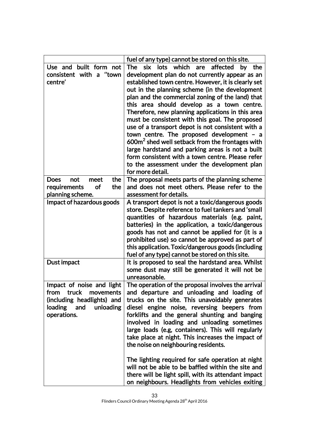|                                   | fuel of any type) cannot be stored on this site.            |
|-----------------------------------|-------------------------------------------------------------|
| built form not<br>Use and         | lots which<br>affected<br>The<br>six<br>are<br>by<br>the    |
| consistent with a "town           | development plan do not currently appear as an              |
| centre'                           | established town centre. However, it is clearly set         |
|                                   | out in the planning scheme (in the development              |
|                                   | plan and the commercial zoning of the land) that            |
|                                   | this area should develop as a town centre.                  |
|                                   | Therefore, new planning applications in this area           |
|                                   | must be consistent with this goal. The proposed             |
|                                   | use of a transport depot is not consistent with a           |
|                                   | town centre. The proposed development $-$ a                 |
|                                   | 600m <sup>2</sup> shed well setback from the frontages with |
|                                   | large hardstand and parking areas is not a built            |
|                                   | form consistent with a town centre. Please refer            |
|                                   | to the assessment under the development plan                |
|                                   | for more detail.                                            |
| the<br><b>Does</b><br>not<br>meet | The proposal meets parts of the planning scheme             |
| requirements<br>the<br>of         | and does not meet others. Please refer to the               |
| planning scheme.                  | assessment for details.                                     |
| Impact of hazardous goods         | A transport depot is not a toxic/dangerous goods            |
|                                   | store. Despite reference to fuel tankers and 'small         |
|                                   | quantities of hazardous materials (e.g. paint,              |
|                                   | batteries) in the application, a toxic/dangerous            |
|                                   | goods has not and cannot be applied for (it is a            |
|                                   | prohibited use) so cannot be approved as part of            |
|                                   | this application. Toxic/dangerous goods (including          |
|                                   | fuel of any type) cannot be stored on this site.            |
| Dust impact                       | It is proposed to seal the hardstand area. Whilst           |
|                                   | some dust may still be generated it will not be             |
|                                   | unreasonable.                                               |
| Impact of noise and light         | The operation of the proposal involves the arrival          |
| truck<br>from<br>movements        | and departure and unloading and loading of                  |
| (including headlights) and        | trucks on the site. This unavoidably generates              |
| loading<br>unloading<br>and       | diesel engine noise, reversing beepers from                 |
| operations.                       | forklifts and the general shunting and banging              |
|                                   | involved in loading and unloading sometimes                 |
|                                   | large loads (e.g, containers). This will regularly          |
|                                   | take place at night. This increases the impact of           |
|                                   | the noise on neighbouring residents.                        |
|                                   |                                                             |
|                                   | The lighting required for safe operation at night           |
|                                   | will not be able to be baffled within the site and          |
|                                   | there will be light spill, with its attendant impact        |
|                                   | on neighbours. Headlights from vehicles exiting             |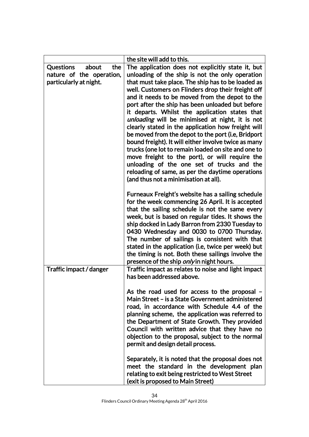|                                  | the site will add to this.                                                                                                                                                                                                                                                                                                                                                                                                                                                                                                                                                                                                                                                                                                                  |
|----------------------------------|---------------------------------------------------------------------------------------------------------------------------------------------------------------------------------------------------------------------------------------------------------------------------------------------------------------------------------------------------------------------------------------------------------------------------------------------------------------------------------------------------------------------------------------------------------------------------------------------------------------------------------------------------------------------------------------------------------------------------------------------|
| <b>Questions</b><br>the<br>about | The application does not explicitly state it, but                                                                                                                                                                                                                                                                                                                                                                                                                                                                                                                                                                                                                                                                                           |
| nature of the operation,         | unloading of the ship is not the only operation                                                                                                                                                                                                                                                                                                                                                                                                                                                                                                                                                                                                                                                                                             |
| particularly at night.           | that must take place. The ship has to be loaded as<br>well. Customers on Flinders drop their freight off<br>and it needs to be moved from the depot to the<br>port after the ship has been unloaded but before<br>it departs. Whilst the application states that<br>unloading will be minimised at night, it is not<br>clearly stated in the application how freight will<br>be moved from the depot to the port (i.e, Bridport<br>bound freight). It will either involve twice as many<br>trucks (one lot to remain loaded on site and one to<br>move freight to the port), or will require the<br>unloading of the one set of trucks and the<br>reloading of same, as per the daytime operations<br>(and thus not a minimisation at all). |
| Traffic impact / danger          | Furneaux Freight's website has a sailing schedule<br>for the week commencing 26 April. It is accepted<br>that the sailing schedule is not the same every<br>week, but is based on regular tides. It shows the<br>ship docked in Lady Barron from 2330 Tuesday to<br>0430 Wednesday and 0030 to 0700 Thursday.<br>The number of sailings is consistent with that<br>stated in the application (i.e, twice per week) but<br>the timing is not. Both these sailings involve the<br>presence of the ship <i>only</i> in night hours.<br>Traffic impact as relates to noise and light impact                                                                                                                                                     |
|                                  | has been addressed above.                                                                                                                                                                                                                                                                                                                                                                                                                                                                                                                                                                                                                                                                                                                   |
|                                  | As the road used for access to the proposal -<br>Main Street – is a State Government administered<br>road, in accordance with Schedule 4.4 of the<br>planning scheme, the application was referred to<br>the Department of State Growth. They provided<br>Council with written advice that they have no<br>objection to the proposal, subject to the normal<br>permit and design detail process.                                                                                                                                                                                                                                                                                                                                            |
|                                  | Separately, it is noted that the proposal does not<br>meet the standard in the development plan<br>relating to exit being restricted to West Street<br>(exit is proposed to Main Street)                                                                                                                                                                                                                                                                                                                                                                                                                                                                                                                                                    |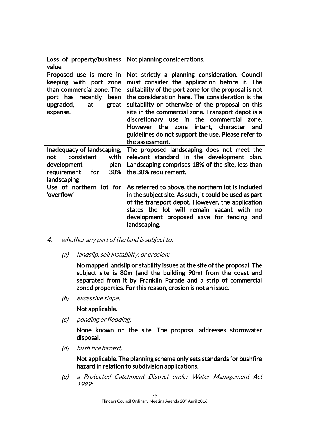| Loss of property/business<br>value                                                                                                               | Not planning considerations.                                                                                                                                                                                                                                                                                                                                                                                                                                                        |
|--------------------------------------------------------------------------------------------------------------------------------------------------|-------------------------------------------------------------------------------------------------------------------------------------------------------------------------------------------------------------------------------------------------------------------------------------------------------------------------------------------------------------------------------------------------------------------------------------------------------------------------------------|
| Proposed use is more in<br>keeping with port zone<br>than commercial zone. The<br>port has recently<br>been<br>upgraded, at<br>great<br>expense. | Not strictly a planning consideration. Council<br>must consider the application before it. The<br>suitability of the port zone for the proposal is not<br>the consideration here. The consideration is the<br>suitability or otherwise of the proposal on this<br>site in the commercial zone. Transport depot is a<br>discretionary use in the commercial zone.<br>However the zone intent, character and<br>guidelines do not support the use. Please refer to<br>the assessment. |
| Inadequacy of landscaping,<br>consistent<br>with<br>not<br>plan<br>development<br>requirement<br>for<br>30%<br>landscaping                       | The proposed landscaping does not meet the<br>relevant standard in the development plan.<br>Landscaping comprises 18% of the site, less than<br>the 30% requirement.                                                                                                                                                                                                                                                                                                                |
| Use of northern lot for<br>'overflow'                                                                                                            | As referred to above, the northern lot is included<br>in the subject site. As such, it could be used as part<br>of the transport depot. However, the application<br>states the lot will remain vacant with no<br>development proposed save for fencing and<br>landscaping.                                                                                                                                                                                                          |

- 4. whether any part of the land is subject to:
	- (a) landslip, soil instability, or erosion;

No mapped landslip or stability issues at the site of the proposal. The subject site is 80m (and the building 90m) from the coast and separated from it by Franklin Parade and a strip of commercial zoned properties. For this reason, erosion is not an issue.

(b) excessive slope;

Not applicable.

(c) ponding or flooding;

None known on the site. The proposal addresses stormwater disposal.

(d) bush fire hazard;

Not applicable. The planning scheme only sets standards for bushfire hazard in relation to subdivision applications.

(e) a Protected Catchment District under Water Management Act 1999;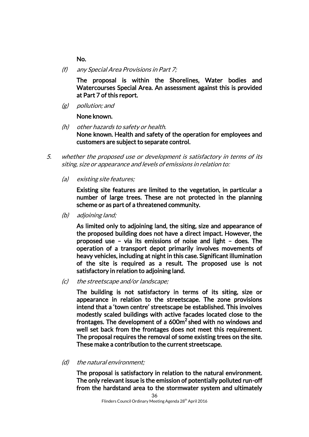No.

(f) any Special Area Provisions in Part 7;

The proposal is within the Shorelines, Water bodies and Watercourses Special Area. An assessment against this is provided at Part 7 of this report.

(g) pollution; and

None known.

- (h) other hazards to safety or health. None known. Health and safety of the operation for employees and customers are subject to separate control.
- 5. whether the proposed use or development is satisfactory in terms of its siting, size or appearance and levels of emissions in relation to:
	- (a) existing site features;

Existing site features are limited to the vegetation, in particular a number of large trees. These are not protected in the planning scheme or as part of a threatened community.

(b) adjoining land;

As limited only to adjoining land, the siting, size and appearance of the proposed building does not have a direct impact. However, the proposed use – via its emissions of noise and light – does. The operation of a transport depot primarily involves movements of heavy vehicles, including at night in this case. Significant illumination of the site is required as a result. The proposed use is not satisfactory in relation to adjoining land.

(c) the streetscape and/or landscape;

The building is not satisfactory in terms of its siting, size or appearance in relation to the streetscape. The zone provisions intend that a 'town centre' streetscape be established. This involves modestly scaled buildings with active facades located close to the frontages. The development of a  $600m^2$  shed with no windows and well set back from the frontages does not meet this requirement. The proposal requires the removal of some existing trees on the site. These make a contribution to the current streetscape.

(d) the natural environment;

The proposal is satisfactory in relation to the natural environment. The only relevant issue is the emission of potentially polluted run-off from the hardstand area to the stormwater system and ultimately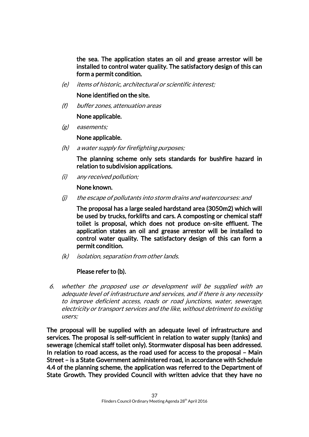the sea. The application states an oil and grease arrestor will be installed to control water quality. The satisfactory design of this can form a permit condition.

(e) items of historic, architectural or scientific interest;

None identified on the site.

(f) buffer zones, attenuation areas

None applicable.

(g) easements;

None applicable.

(h) a water supply for firefighting purposes;

The planning scheme only sets standards for bushfire hazard in relation to subdivision applications.

(i) any received pollution;

None known.

(j) the escape of pollutants into storm drains and watercourses: and

The proposal has a large sealed hardstand area (3050m2) which will be used by trucks, forklifts and cars. A composting or chemical staff toilet is proposal, which does not produce on-site effluent. The application states an oil and grease arrestor will be installed to control water quality. The satisfactory design of this can form a permit condition.

(k) isolation, separation from other lands.

# Please refer to (b).

6. whether the proposed use or development will be supplied with an adequate level of infrastructure and services, and if there is any necessity to improve deficient access, roads or road junctions, water, sewerage, electricity or transport services and the like, without detriment to existing users;

The proposal will be supplied with an adequate level of infrastructure and services. The proposal is self-sufficient in relation to water supply (tanks) and sewerage (chemical staff toilet only). Stormwater disposal has been addressed. In relation to road access, as the road used for access to the proposal – Main Street – is a State Government administered road, in accordance with Schedule 4.4 of the planning scheme, the application was referred to the Department of State Growth. They provided Council with written advice that they have no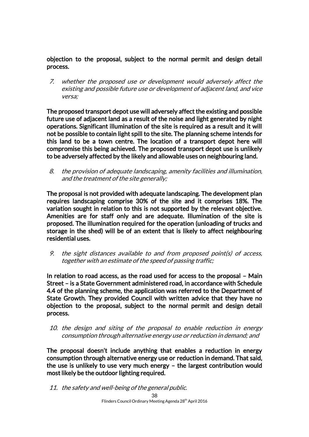objection to the proposal, subject to the normal permit and design detail process.

7. whether the proposed use or development would adversely affect the existing and possible future use or development of adjacent land, and vice versa;

The proposed transport depot use will adversely affect the existing and possible future use of adjacent land as a result of the noise and light generated by night operations. Significant illumination of the site is required as a result and it will not be possible to contain light spill to the site. The planning scheme intends for this land to be a town centre. The location of a transport depot here will compromise this being achieved. The proposed transport depot use is unlikely to be adversely affected by the likely and allowable uses on neighbouring land.

8. the provision of adequate landscaping, amenity facilities and illumination, and the treatment of the site generally;

The proposal is not provided with adequate landscaping. The development plan requires landscaping comprise 30% of the site and it comprises 18%. The variation sought in relation to this is not supported by the relevant objective. Amenities are for staff only and are adequate. Illumination of the site is proposed. The illumination required for the operation (unloading of trucks and storage in the shed) will be of an extent that is likely to affect neighbouring residential uses.

9. the sight distances available to and from proposed point(s) of access, together with an estimate of the speed of passing traffic;

In relation to road access, as the road used for access to the proposal – Main Street – is a State Government administered road, in accordance with Schedule 4.4 of the planning scheme, the application was referred to the Department of State Growth. They provided Council with written advice that they have no objection to the proposal, subject to the normal permit and design detail process.

10. the design and siting of the proposal to enable reduction in energy consumption through alternative energy use or reduction in demand; and

The proposal doesn't include anything that enables a reduction in energy consumption through alternative energy use or reduction in demand. That said, the use is unlikely to use very much energy – the largest contribution would most likely be the outdoor lighting required.

11. the safety and well-being of the general public.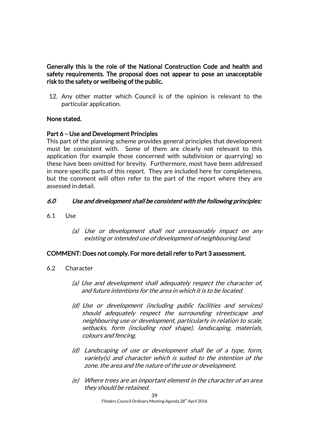### Generally this is the role of the National Construction Code and health and safety requirements. The proposal does not appear to pose an unacceptable risk to the safety or wellbeing of the public.

12. Any other matter which Council is of the opinion is relevant to the particular application.

## None stated.

### Part 6 – Use and Development Principles

This part of the planning scheme provides general principles that development must be consistent with. Some of them are clearly not relevant to this application (for example those concerned with subdivision or quarrying) so these have been omitted for brevity. Furthermore, most have been addressed in more specific parts of this report. They are included here for completeness, but the comment will often refer to the part of the report where they are assessed in detail.

## 6.0 Use and development shall be consistent with the following principles:

- 6.1 Use
	- (a) Use or development shall not unreasonably impact on any existing or intended use of development of neighbouring land.

### COMMENT: Does not comply. For more detail refer to Part 3 assessment.

- 6.2 Character
	- (a) Use and development shall adequately respect the character of, and future intentions for the area in which it is to be located.
	- (d) Use or development (including public facilities and services) should adequately respect the surrounding streetscape and neighbouring use or development, particularly in relation to scale, setbacks, form (including roof shape), landscaping, materials, colours and fencing.
	- (d) Landscaping of use or development shall be of a type, form, variety(s) and character which is suited to the intention of the zone, the area and the nature of the use or development.
	- (e) Where trees are an important element in the character of an area they should be retained.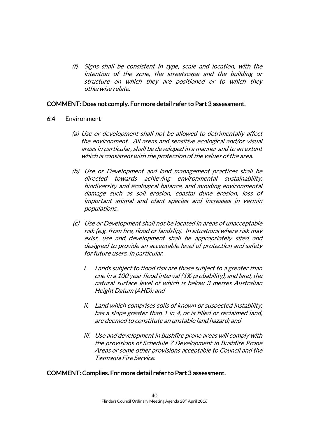(f) Signs shall be consistent in type, scale and location, with the intention of the zone, the streetscape and the building or structure on which they are positioned or to which they otherwise relate.

### COMMENT: Does not comply. For more detail refer to Part 3 assessment.

- 6.4 Environment
	- (a) Use or development shall not be allowed to detrimentally affect the environment. All areas and sensitive ecological and/or visual areas in particular, shall be developed in a manner and to an extent which is consistent with the protection of the values of the area.
	- (b) Use or Development and land management practices shall be directed towards achieving environmental sustainability, biodiversity and ecological balance, and avoiding environmental damage such as soil erosion, coastal dune erosion, loss of important animal and plant species and increases in vermin populations.
	- (c) Use or Development shall not be located in areas of unacceptable risk (e.g. from fire, flood or landslip). In situations where risk may exist, use and development shall be appropriately sited and designed to provide an acceptable level of protection and safety for future users. In particular.
		- i. Lands subject to flood risk are those subject to a greater than one in a 100 year flood interval (1% probability), and land, the natural surface level of which is below 3 metres Australian Height Datum (AHD); and
		- ii. Land which comprises soils of known or suspected instability, has a slope greater than 1 in 4, or is filled or reclaimed land, are deemed to constitute an unstable land hazard; and
		- iii. Use and development in bushfire prone areas will comply with the provisions of Schedule 7 Development in Bushfire Prone Areas or some other provisions acceptable to Council and the Tasmania Fire Service.

### COMMENT: Complies. For more detail refer to Part 3 assessment.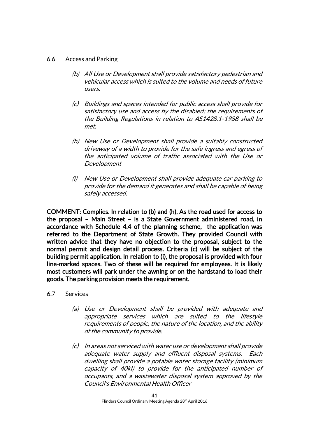- 6.6 Access and Parking
	- (b) All Use or Development shall provide satisfactory pedestrian and vehicular access which is suited to the volume and needs of future users.
	- (c) Buildings and spaces intended for public access shall provide for satisfactory use and access by the disabled; the requirements of the Building Regulations in relation to AS1428.1-1988 shall be met.
	- (h) New Use or Development shall provide a suitably constructed driveway of a width to provide for the safe ingress and egress of the anticipated volume of traffic associated with the Use or Development
	- (i) New Use or Development shall provide adequate car parking to provide for the demand it generates and shall be capable of being safely accessed.

COMMENT: Complies. In relation to (b) and (h), As the road used for access to the proposal – Main Street – is a State Government administered road, in accordance with Schedule 4.4 of the planning scheme, the application was referred to the Department of State Growth. They provided Council with written advice that they have no objection to the proposal, subject to the normal permit and design detail process. Criteria (c) will be subject of the building permit application. In relation to (i), the proposal is provided with four line-marked spaces. Two of these will be required for employees. It is likely most customers will park under the awning or on the hardstand to load their goods. The parking provision meets the requirement.

- 6.7 Services
	- (a) Use or Development shall be provided with adequate and appropriate services which are suited to the lifestyle requirements of people, the nature of the location, and the ability of the community to provide.
	- (c) In areas not serviced with water use or development shall provide adequate water supply and effluent disposal systems. Each dwelling shall provide a potable water storage facility (minimum capacity of 40kl) to provide for the anticipated number of occupants, and a wastewater disposal system approved by the Council's Environmental Health Officer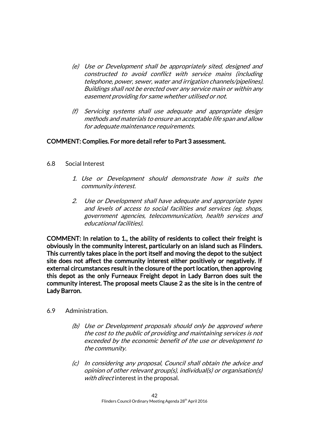- (e) Use or Development shall be appropriately sited, designed and constructed to avoid conflict with service mains (including telephone, power, sewer, water and irrigation channels/pipelines). Buildings shall not be erected over any service main or within any easement providing for same whether utilised or not.
- (f) Servicing systems shall use adequate and appropriate design methods and materials to ensure an acceptable life span and allow for adequate maintenance requirements.

### COMMENT: Complies. For more detail refer to Part 3 assessment.

- 6.8 Social Interest
	- 1. Use or Development should demonstrate how it suits the community interest.
	- 2. Use or Development shall have adequate and appropriate types and levels of access to social facilities and services (eg. shops, government agencies, telecommunication, health services and educational facilities).

COMMENT: In relation to 1., the ability of residents to collect their freight is obviously in the community interest, particularly on an island such as Flinders. This currently takes place in the port itself and moving the depot to the subject site does not affect the community interest either positively or negatively. If external circumstances result in the closure of the port location, then approving this depot as the only Furneaux Freight depot in Lady Barron does suit the community interest. The proposal meets Clause 2 as the site is in the centre of Lady Barron.

- 6.9 Administration.
	- (b) Use or Development proposals should only be approved where the cost to the public of providing and maintaining services is not exceeded by the economic benefit of the use or development to the community.
	- (c) In considering any proposal, Council shall obtain the advice and opinion of other relevant group(s), individual(s) or organisation(s) with direct interest in the proposal.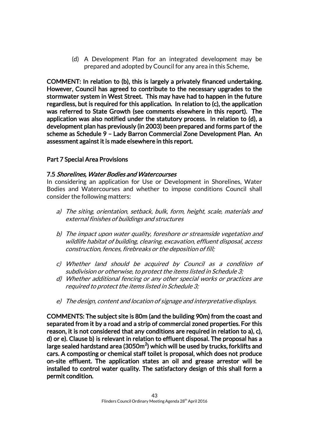(d) A Development Plan for an integrated development may be prepared and adopted by Council for any area in this Scheme,

COMMENT: In relation to (b), this is largely a privately financed undertaking. However, Council has agreed to contribute to the necessary upgrades to the stormwater system in West Street. This may have had to happen in the future regardless, but is required for this application. In relation to (c), the application was referred to State Growth (see comments elsewhere in this report). The application was also notified under the statutory process. In relation to (d), a development plan has previously (in 2003) been prepared and forms part of the scheme as Schedule 9 – Lady Barron Commercial Zone Development Plan. An assessment against it is made elsewhere in this report.

### Part 7 Special Area Provisions

### 7.5 Shorelines, Water Bodies and Watercourses

In considering an application for Use or Development in Shorelines, Water Bodies and Watercourses and whether to impose conditions Council shall consider the following matters:

- a) The siting, orientation, setback, bulk, form, height, scale, materials and external finishes of buildings and structures
- b) The impact upon water quality, foreshore or streamside vegetation and wildlife habitat of building, clearing, excavation, effluent disposal, access construction, fences, firebreaks or the deposition of fill;
- c) Whether land should be acquired by Council as a condition of subdivision or otherwise, to protect the items listed in Schedule 3;
- d) Whether additional fencing or any other special works or practices are required to protect the items listed in Schedule 3;
- e) The design, content and location of signage and interpretative displays.

COMMENTS: The subject site is 80m (and the building 90m) from the coast and separated from it by a road and a strip of commercial zoned properties. For this reason, it is not considered that any conditions are required in relation to a), c), d) or e). Clause b) is relevant in relation to effluent disposal. The proposal has a large sealed hardstand area (3050m $^2$ ) which will be used by trucks, forklifts and cars. A composting or chemical staff toilet is proposal, which does not produce on-site effluent. The application states an oil and grease arrestor will be installed to control water quality. The satisfactory design of this shall form a permit condition.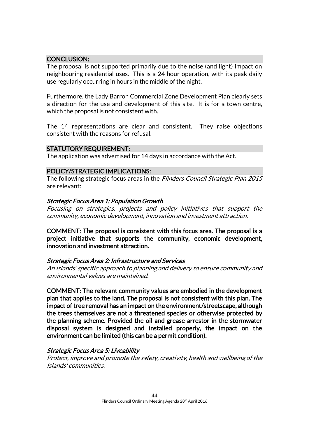### CONCLUSION:

The proposal is not supported primarily due to the noise (and light) impact on neighbouring residential uses. This is a 24 hour operation, with its peak daily use regularly occurring in hours in the middle of the night.

Furthermore, the Lady Barron Commercial Zone Development Plan clearly sets a direction for the use and development of this site. It is for a town centre, which the proposal is not consistent with.

The 14 representations are clear and consistent. They raise objections consistent with the reasons for refusal.

### STATUTORY REQUIREMENT:

The application was advertised for 14 days in accordance with the Act.

### POLICY/STRATEGIC IMPLICATIONS:

The following strategic focus areas in the *Flinders Council Strategic Plan 2015* are relevant:

#### Strategic Focus Area 1: Population Growth

Focusing on strategies, projects and policy initiatives that support the community, economic development, innovation and investment attraction.

COMMENT: The proposal is consistent with this focus area. The proposal is a project initiative that supports the community, economic development, innovation and investment attraction.

### Strategic Focus Area 2: Infrastructure and Services

An Islands' specific approach to planning and delivery to ensure community and environmental values are maintained.

COMMENT: The relevant community values are embodied in the development plan that applies to the land. The proposal is not consistent with this plan. The impact of tree removal has an impact on the environment/streetscape, although the trees themselves are not a threatened species or otherwise protected by the planning scheme. Provided the oil and grease arrestor in the stormwater disposal system is designed and installed properly, the impact on the environment can be limited (this can be a permit condition).

### Strategic Focus Area 5: Liveability

Protect, improve and promote the safety, creativity, health and wellbeing of the Islands' communities.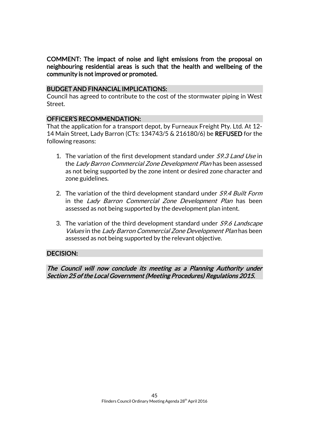COMMENT: The impact of noise and light emissions from the proposal on neighbouring residential areas is such that the health and wellbeing of the community is not improved or promoted.

### BUDGET AND FINANCIAL IMPLICATIONS:

Council has agreed to contribute to the cost of the stormwater piping in West Street.

### OFFICER'S RECOMMENDATION:

That the application for a transport depot, by Furneaux Freight Pty. Ltd. At 12- 14 Main Street, Lady Barron (CTs: 134743/5 & 216180/6) be REFUSED for the following reasons:

- 1. The variation of the first development standard under S9.3 Land Use in the Lady Barron Commercial Zone Development Plan has been assessed as not being supported by the zone intent or desired zone character and zone guidelines.
- 2. The variation of the third development standard under *S9.4 Built Form* in the Lady Barron Commercial Zone Development Plan has been assessed as not being supported by the development plan intent.
- 3. The variation of the third development standard under *S9.6 Landscape* Values in the Lady Barron Commercial Zone Development Plan has been assessed as not being supported by the relevant objective.

### DECISION:

The Council will now conclude its meeting as a Planning Authority under Section 25 of the Local Government (Meeting Procedures) Regulations 2015.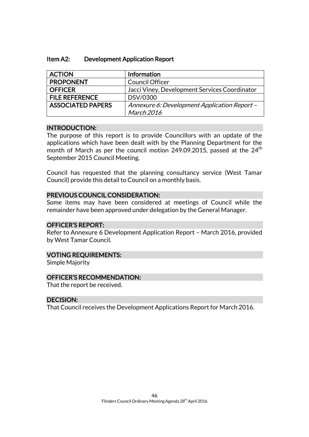| <b>ACTION</b>            | Information                                   |
|--------------------------|-----------------------------------------------|
| <b>PROPONENT</b>         | <b>Council Officer</b>                        |
| <b>OFFICER</b>           | Jacci Viney, Development Services Coordinator |
| <b>FILE REFERENCE</b>    | DSV/0300                                      |
| <b>ASSOCIATED PAPERS</b> | Annexure 6: Development Application Report -  |
|                          | March 2016                                    |

### INTRODUCTION:

The purpose of this report is to provide Councillors with an update of the applications which have been dealt with by the Planning Department for the month of March as per the council motion 249.09.2015, passed at the  $24<sup>th</sup>$ September 2015 Council Meeting.

Council has requested that the planning consultancy service (West Tamar Council) provide this detail to Council on a monthly basis.

### PREVIOUS COUNCIL CONSIDERATION:

Some items may have been considered at meetings of Council while the remainder have been approved under delegation by the General Manager.

### OFFICER'S REPORT:

Refer to Annexure 6 Development Application Report – March 2016, provided by West Tamar Council.

### VOTING REQUIREMENTS:

Simple Majority

### OFFICER'S RECOMMENDATION:

That the report be received.

### DECISION:

That Council receives the Development Applications Report for March 2016.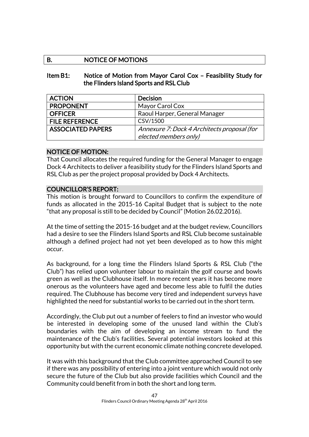### B. NOTICE OF MOTIONS

### Item B1: Notice of Motion from Mayor Carol Cox – Feasibility Study for the Flinders Island Sports and RSL Club

| <b>ACTION</b>            | <b>Decision</b>                             |
|--------------------------|---------------------------------------------|
| <b>PROPONENT</b>         | Mayor Carol Cox                             |
| <b>OFFICER</b>           | Raoul Harper, General Manager               |
| <b>FILE REFERENCE</b>    | CSV/1500                                    |
| <b>ASSOCIATED PAPERS</b> | Annexure 7: Dock 4 Architects proposal (for |
|                          | elected members only)                       |

### NOTICE OF MOTION:

That Council allocates the required funding for the General Manager to engage Dock 4 Architects to deliver a feasibility study for the Flinders Island Sports and RSL Club as per the project proposal provided by Dock 4 Architects.

### COUNCILLOR'S REPORT:

This motion is brought forward to Councillors to confirm the expenditure of funds as allocated in the 2015-16 Capital Budget that is subject to the note "that any proposal is still to be decided by Council" (Motion 26.02.2016).

At the time of setting the 2015-16 budget and at the budget review, Councillors had a desire to see the Flinders Island Sports and RSL Club become sustainable although a defined project had not yet been developed as to how this might occur.

As background, for a long time the Flinders Island Sports & RSL Club ("the Club") has relied upon volunteer labour to maintain the golf course and bowls green as well as the Clubhouse itself. In more recent years it has become more onerous as the volunteers have aged and become less able to fulfil the duties required. The Clubhouse has become very tired and independent surveys have highlighted the need for substantial works to be carried out in the short term.

Accordingly, the Club put out a number of feelers to find an investor who would be interested in developing some of the unused land within the Club's boundaries with the aim of developing an income stream to fund the maintenance of the Club's facilities. Several potential investors looked at this opportunity but with the current economic climate nothing concrete developed.

It was with this background that the Club committee approached Council to see if there was any possibility of entering into a joint venture which would not only secure the future of the Club but also provide facilities which Council and the Community could benefit from in both the short and long term.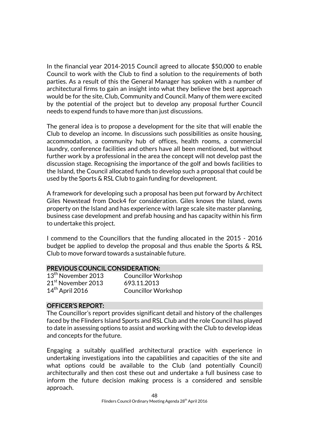In the financial year 2014-2015 Council agreed to allocate \$50,000 to enable Council to work with the Club to find a solution to the requirements of both parties. As a result of this the General Manager has spoken with a number of architectural firms to gain an insight into what they believe the best approach would be for the site, Club, Community and Council. Many of them were excited by the potential of the project but to develop any proposal further Council needs to expend funds to have more than just discussions.

The general idea is to propose a development for the site that will enable the Club to develop an income. In discussions such possibilities as onsite housing, accommodation, a community hub of offices, health rooms, a commercial laundry, conference facilities and others have all been mentioned, but without further work by a professional in the area the concept will not develop past the discussion stage. Recognising the importance of the golf and bowls facilities to the Island, the Council allocated funds to develop such a proposal that could be used by the Sports & RSL Club to gain funding for development.

A framework for developing such a proposal has been put forward by Architect Giles Newstead from Dock4 for consideration. Giles knows the Island, owns property on the Island and has experience with large scale site master planning, business case development and prefab housing and has capacity within his firm to undertake this project.

I commend to the Councillors that the funding allocated in the 2015 - 2016 budget be applied to develop the proposal and thus enable the Sports & RSL Club to move forward towards a sustainable future.

### PREVIOUS COUNCIL CONSIDERATION:

| 13 <sup>th</sup> November 2013 | <b>Councillor Workshop</b> |
|--------------------------------|----------------------------|
| 21 <sup>st</sup> November 2013 | 693.11.2013                |
| $14th$ April 2016              | <b>Councillor Workshop</b> |

### OFFICER'S REPORT:

The Councillor's report provides significant detail and history of the challenges faced by the Flinders Island Sports and RSL Club and the role Council has played to date in assessing options to assist and working with the Club to develop ideas and concepts for the future.

Engaging a suitably qualified architectural practice with experience in undertaking investigations into the capabilities and capacities of the site and what options could be available to the Club (and potentially Council) architecturally and then cost these out and undertake a full business case to inform the future decision making process is a considered and sensible approach.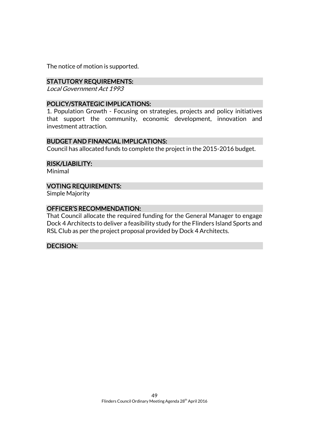The notice of motion is supported.

### STATUTORY REQUIREMENTS:

Local Government Act 1993

### POLICY/STRATEGIC IMPLICATIONS:

1. Population Growth - Focusing on strategies, projects and policy initiatives that support the community, economic development, innovation and investment attraction.

### BUDGET AND FINANCIAL IMPLICATIONS:

Council has allocated funds to complete the project in the 2015-2016 budget.

### RISK/LIABILITY:

Minimal

### VOTING REQUIREMENTS:

Simple Majority

### OFFICER'S RECOMMENDATION:

That Council allocate the required funding for the General Manager to engage Dock 4 Architects to deliver a feasibility study for the Flinders Island Sports and RSL Club as per the project proposal provided by Dock 4 Architects.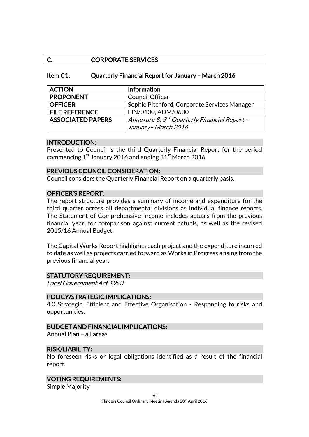### C. CORPORATE SERVICES

### Item C1: Quarterly Financial Report for January – March 2016

| <b>ACTION</b>            | Information                                    |
|--------------------------|------------------------------------------------|
| <b>PROPONENT</b>         | <b>Council Officer</b>                         |
| <b>OFFICER</b>           | Sophie Pitchford, Corporate Services Manager   |
| <b>FILE REFERENCE</b>    | FIN/0100, ADM/0600                             |
| <b>ASSOCIATED PAPERS</b> | Annexure 8: $3^d$ Quarterly Financial Report - |
|                          | January-March 2016                             |

#### INTRODUCTION:

Presented to Council is the third Quarterly Financial Report for the period commencing  $1^{st}$  January 2016 and ending  $31^{st}$  March 2016.

### PREVIOUS COUNCIL CONSIDERATION:

Council considers the Quarterly Financial Report on a quarterly basis.

#### OFFICER'S REPORT:

The report structure provides a summary of income and expenditure for the third quarter across all departmental divisions as individual finance reports. The Statement of Comprehensive Income includes actuals from the previous financial year, for comparison against current actuals, as well as the revised 2015/16 Annual Budget.

The Capital Works Report highlights each project and the expenditure incurred to date as well as projects carried forward as Works in Progress arising from the previous financial year.

### STATUTORY REQUIREMENT:

Local Government Act 1993

#### POLICY/STRATEGIC IMPLICATIONS:

4.0 Strategic, Efficient and Effective Organisation - Responding to risks and opportunities.

### BUDGET AND FINANCIAL IMPLICATIONS:

Annual Plan – all areas

### RISK/LIABILITY:

No foreseen risks or legal obligations identified as a result of the financial report.

### VOTING REQUIREMENTS:

Simple Majority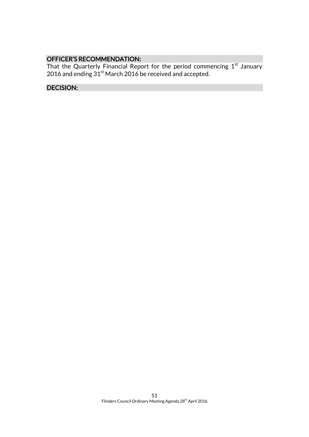### OFFICER'S RECOMMENDATION:

That the Quarterly Financial Report for the period commencing  $1^\mathrm{st}$  January 2016 and ending  $31^{\rm st}$  March 2016 be received and accepted.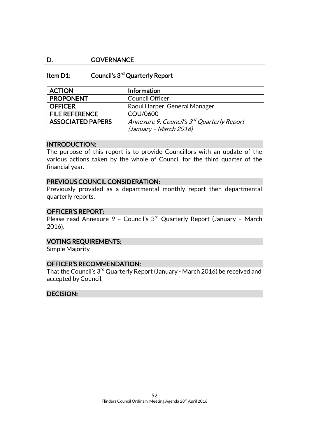### D. **GOVERNANCE**

### Item D1: Council's 3<sup>rd</sup> Quarterly Report

| <b>ACTION</b>            | <b>Information</b>                                     |
|--------------------------|--------------------------------------------------------|
| <b>PROPONENT</b>         | <b>Council Officer</b>                                 |
| <b>OFFICER</b>           | Raoul Harper, General Manager                          |
| <b>FILE REFERENCE</b>    | COU/0600                                               |
| <b>ASSOCIATED PAPERS</b> | Annexure 9: Council's 3 <sup>rd</sup> Quarterly Report |
|                          | (January - March 2016)                                 |

#### INTRODUCTION:

The purpose of this report is to provide Councillors with an update of the various actions taken by the whole of Council for the third quarter of the financial year.

#### PREVIOUS COUNCIL CONSIDERATION:

Previously provided as a departmental monthly report then departmental quarterly reports.

#### OFFICER'S REPORT:

Please read Annexure 9 - Council's 3<sup>rd</sup> Quarterly Report (January - March 2016).

### VOTING REQUIREMENTS:

Simple Majority

#### OFFICER'S RECOMMENDATION:

That the Council's 3<sup>rd</sup> Quarterly Report (January - March 2016) be received and accepted by Council.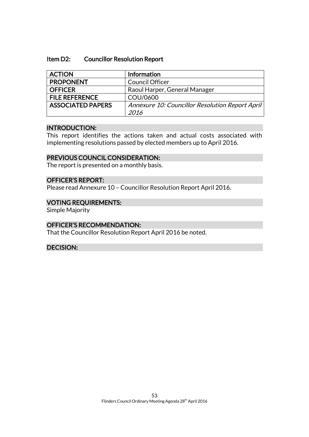#### Item D2: Councillor Resolution Report

| <b>ACTION</b>            | <b>Information</b>                              |
|--------------------------|-------------------------------------------------|
| <b>PROPONENT</b>         | <b>Council Officer</b>                          |
| <b>OFFICER</b>           | Raoul Harper, General Manager                   |
| <b>FILE REFERENCE</b>    | COU/0600                                        |
| <b>ASSOCIATED PAPERS</b> | Annexure 10: Councillor Resolution Report April |
|                          | 2016                                            |

#### INTRODUCTION:

This report identifies the actions taken and actual costs associated with implementing resolutions passed by elected members up to April 2016.

### PREVIOUS COUNCIL CONSIDERATION:

The report is presented on a monthly basis.

### OFFICER'S REPORT:

Please read Annexure 10 – Councillor Resolution Report April 2016.

### VOTING REQUIREMENTS:

Simple Majority

### OFFICER'S RECOMMENDATION:

That the Councillor Resolution Report April 2016 be noted.